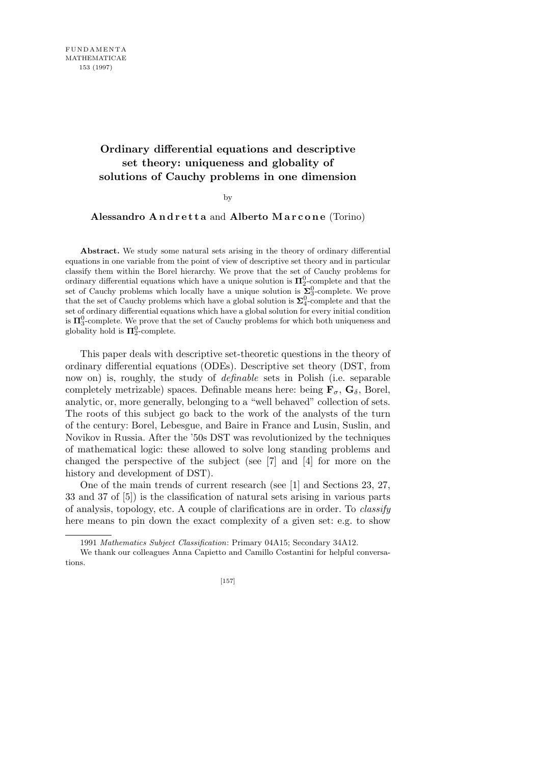# **Ordinary differential equations and descriptive set theory: uniqueness and globality of solutions of Cauchy problems in one dimension**

#### by

## **Alessandro A n d r e t t a** and **Alberto M a r c o n e** (Torino)

**Abstract.** We study some natural sets arising in the theory of ordinary differential equations in one variable from the point of view of descriptive set theory and in particular classify them within the Borel hierarchy. We prove that the set of Cauchy problems for ordinary differential equations which have a unique solution is  $\Pi_2^0$ -complete and that the set of Cauchy problems which locally have a unique solution is  $\sum_{3}^{0}$ -complete. We prove that the set of Cauchy problems which have a global solution is  $\Sigma_4^0$ -complete and that the set of ordinary differential equations which have a global solution for every initial condition is  $\Pi_3^0$ -complete. We prove that the set of Cauchy problems for which both uniqueness and globality hold is  $\Pi_2^0$ -complete.

This paper deals with descriptive set-theoretic questions in the theory of ordinary differential equations (ODEs). Descriptive set theory (DST, from now on) is, roughly, the study of *definable* sets in Polish (i.e. separable completely metrizable) spaces. Definable means here: being  $\mathbf{F}_{\sigma}$ ,  $\mathbf{G}_{\delta}$ , Borel, analytic, or, more generally, belonging to a "well behaved" collection of sets. The roots of this subject go back to the work of the analysts of the turn of the century: Borel, Lebesgue, and Baire in France and Lusin, Suslin, and Novikov in Russia. After the '50s DST was revolutionized by the techniques of mathematical logic: these allowed to solve long standing problems and changed the perspective of the subject (see [7] and [4] for more on the history and development of DST).

One of the main trends of current research (see [1] and Sections 23, 27, 33 and 37 of [5]) is the classification of natural sets arising in various parts of analysis, topology, etc. A couple of clarifications are in order. To *classify* here means to pin down the exact complexity of a given set: e.g. to show

<sup>1991</sup> *Mathematics Subject Classification*: Primary 04A15; Secondary 34A12.

We thank our colleagues Anna Capietto and Camillo Costantini for helpful conversations.

<sup>[157]</sup>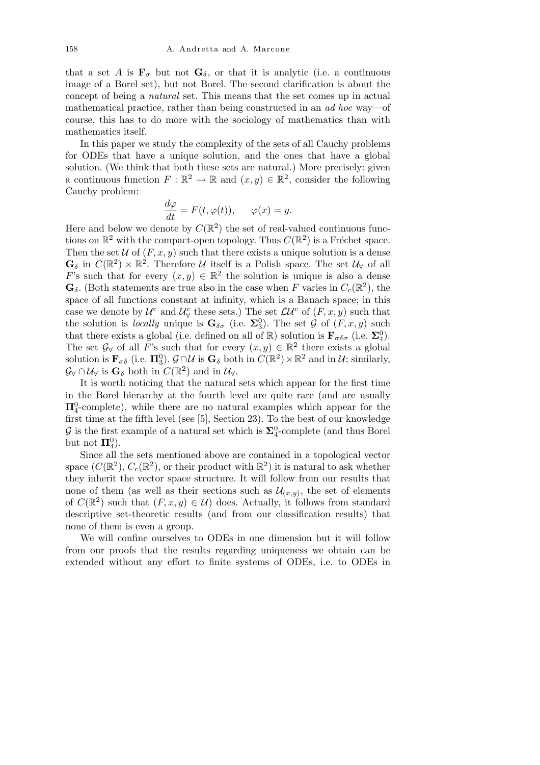that a set *A* is  $\mathbf{F}_{\sigma}$  but not  $\mathbf{G}_{\delta}$ , or that it is analytic (i.e. a continuous image of a Borel set), but not Borel. The second clarification is about the concept of being a *natural* set. This means that the set comes up in actual mathematical practice, rather than being constructed in an *ad hoc* way—of course, this has to do more with the sociology of mathematics than with mathematics itself.

In this paper we study the complexity of the sets of all Cauchy problems for ODEs that have a unique solution, and the ones that have a global solution. (We think that both these sets are natural.) More precisely: given a continuous function  $F : \mathbb{R}^2 \to \mathbb{R}$  and  $(x, y) \in \mathbb{R}^2$ , consider the following Cauchy problem:

$$
\frac{d\varphi}{dt} = F(t, \varphi(t)), \qquad \varphi(x) = y.
$$

Here and below we denote by  $C(\mathbb{R}^2)$  the set of real-valued continuous functions on  $\mathbb{R}^2$  with the compact-open topology. Thus  $C(\mathbb{R}^2)$  is a Fréchet space. Then the set  $U$  of  $(F, x, y)$  such that there exists a unique solution is a dense  $\mathbf{G}_{\delta}$  in  $C(\mathbb{R}^2) \times \mathbb{R}^2$ . Therefore *U* itself is a Polish space. The set  $\mathcal{U}_{\forall}$  of all *F*'s such that for every  $(x, y) \in \mathbb{R}^2$  the solution is unique is also a dense  $\mathbf{G}_{\delta}$ . (Both statements are true also in the case when *F* varies in  $C_{c}(\mathbb{R}^{2})$ , the space of all functions constant at infinity, which is a Banach space; in this case we denote by  $\mathcal{U}^c$  and  $\mathcal{U}^c_\forall$  these sets.) The set  $\mathcal{LU}^c$  of  $(F, x, y)$  such that the solution is *locally* unique is  $\mathbf{G}_{\delta\sigma}$  (i.e.  $\Sigma_3^0$ ). The set  $\mathcal G$  of  $(F, x, y)$  such that there exists a global (i.e. defined on all of  $\mathbb{R}$ ) solution is  $\mathbf{F}_{\sigma\delta\sigma}$  (i.e.  $\Sigma_4^0$ ). The set  $\mathcal{G}_{\forall}$  of all *F*'s such that for every  $(x, y) \in \mathbb{R}^2$  there exists a global solution is  $\mathbf{F}_{\sigma\delta}$  (i.e.  $\Pi_3^0$ ).  $\mathcal{G} \cap \mathcal{U}$  is  $\mathbf{G}_{\delta}$  both in  $C(\mathbb{R}^2) \times \mathbb{R}^2$  and in  $\mathcal{U}$ ; similarly,  $\mathcal{G}_{\forall} \cap \mathcal{U}_{\forall}$  is  $\mathbf{G}_{\delta}$  both in  $C(\mathbb{R}^2)$  and in  $\mathcal{U}_{\forall}$ .

It is worth noticing that the natural sets which appear for the first time in the Borel hierarchy at the fourth level are quite rare (and are usually **Π**<sup>0</sup><sub>4</sub>-complete), while there are no natural examples which appear for the first time at the fifth level (see [5], Section 23). To the best of our knowledge  $\mathcal{G}$  is the first example of a natural set which is  $\Sigma^0_4$ -complete (and thus Borel but not  $\Pi_4^0$ ).

Since all the sets mentioned above are contained in a topological vector space  $(C(\mathbb{R}^2), C_c(\mathbb{R}^2))$ , or their product with  $\mathbb{R}^2$ ) it is natural to ask whether they inherit the vector space structure. It will follow from our results that none of them (as well as their sections such as  $\mathcal{U}_{(x,y)}$ , the set of elements of  $C(\mathbb{R}^2)$  such that  $(F, x, y) \in U$  does. Actually, it follows from standard descriptive set-theoretic results (and from our classification results) that none of them is even a group.

We will confine ourselves to ODEs in one dimension but it will follow from our proofs that the results regarding uniqueness we obtain can be extended without any effort to finite systems of ODEs, i.e. to ODEs in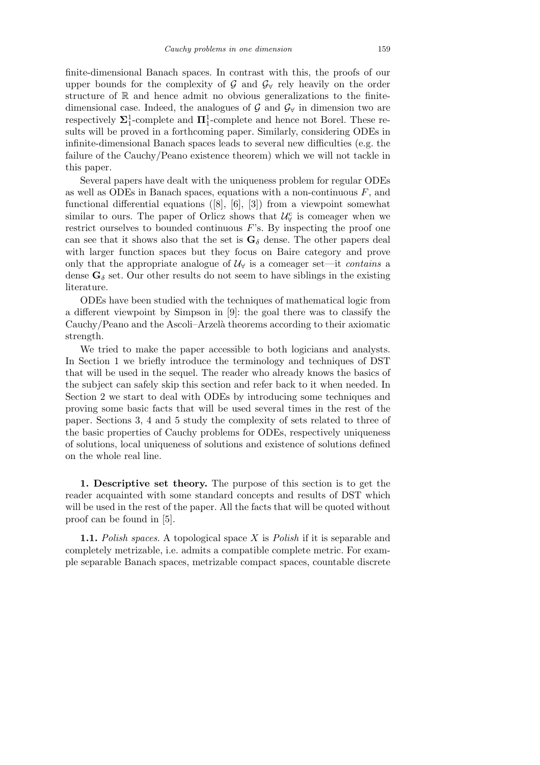finite-dimensional Banach spaces. In contrast with this, the proofs of our upper bounds for the complexity of  $\mathcal G$  and  $\mathcal G_\forall$  rely heavily on the order structure of  $\mathbb R$  and hence admit no obvious generalizations to the finitedimensional case. Indeed, the analogues of  $\mathcal{G}$  and  $\mathcal{G}_{\forall}$  in dimension two are respectively  $\Sigma_1^1$ -complete and  $\Pi_1^1$ -complete and hence not Borel. These results will be proved in a forthcoming paper. Similarly, considering ODEs in infinite-dimensional Banach spaces leads to several new difficulties (e.g. the failure of the Cauchy/Peano existence theorem) which we will not tackle in this paper.

Several papers have dealt with the uniqueness problem for regular ODEs as well as ODEs in Banach spaces, equations with a non-continuous *F*, and functional differential equations ([8], [6], [3]) from a viewpoint somewhat similar to ours. The paper of Orlicz shows that  $\mathcal{U}^{\mathbf{c}}_{\forall}$  is comeager when we restrict ourselves to bounded continuous *F*'s. By inspecting the proof one can see that it shows also that the set is  $\mathbf{G}_{\delta}$  dense. The other papers deal with larger function spaces but they focus on Baire category and prove only that the appropriate analogue of  $\mathcal{U}_{\forall}$  is a comeager set—it *contains* a dense  $\mathbf{G}_{\delta}$  set. Our other results do not seem to have siblings in the existing literature.

ODEs have been studied with the techniques of mathematical logic from a different viewpoint by Simpson in [9]: the goal there was to classify the Cauchy/Peano and the Ascoli–Arzelà theorems according to their axiomatic strength.

We tried to make the paper accessible to both logicians and analysts. In Section 1 we briefly introduce the terminology and techniques of DST that will be used in the sequel. The reader who already knows the basics of the subject can safely skip this section and refer back to it when needed. In Section 2 we start to deal with ODEs by introducing some techniques and proving some basic facts that will be used several times in the rest of the paper. Sections 3, 4 and 5 study the complexity of sets related to three of the basic properties of Cauchy problems for ODEs, respectively uniqueness of solutions, local uniqueness of solutions and existence of solutions defined on the whole real line.

**1. Descriptive set theory.** The purpose of this section is to get the reader acquainted with some standard concepts and results of DST which will be used in the rest of the paper. All the facts that will be quoted without proof can be found in [5].

**1.1.** *Polish spaces*. A topological space *X* is *Polish* if it is separable and completely metrizable, i.e. admits a compatible complete metric. For example separable Banach spaces, metrizable compact spaces, countable discrete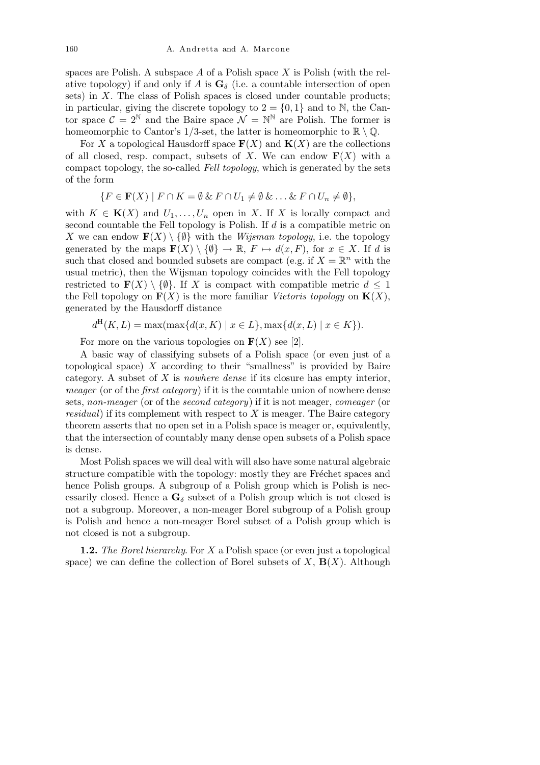spaces are Polish. A subspace *A* of a Polish space *X* is Polish (with the relative topology) if and only if *A* is  $\mathbf{G}_{\delta}$  (i.e. a countable intersection of open sets) in *X*. The class of Polish spaces is closed under countable products; in particular, giving the discrete topology to  $2 = \{0, 1\}$  and to N, the Cantor space  $C = 2^{\mathbb{N}}$  and the Baire space  $\mathcal{N} = \mathbb{N}^{\mathbb{N}}$  are Polish. The former is homeomorphic to Cantor's 1/3-set, the latter is homeomorphic to  $\mathbb{R} \setminus \mathbb{Q}$ .

For *X* a topological Hausdorff space  $\mathbf{F}(X)$  and  $\mathbf{K}(X)$  are the collections of all closed, resp. compact, subsets of *X*. We can endow  $F(X)$  with a compact topology, the so-called *Fell topology*, which is generated by the sets of the form

$$
\{F \in \mathbf{F}(X) \mid F \cap K = \emptyset \& F \cap U_1 \neq \emptyset \& \dots \& F \cap U_n \neq \emptyset\},\
$$

with  $K \in K(X)$  and  $U_1, \ldots, U_n$  open in *X*. If *X* is locally compact and second countable the Fell topology is Polish. If *d* is a compatible metric on *X* we can endow  $\mathbf{F}(X) \setminus \{\emptyset\}$  with the *Wijsman topology*, i.e. the topology generated by the maps  $\mathbf{F}(X) \setminus \{ \emptyset \} \to \mathbb{R}, F \mapsto d(x, F)$ , for  $x \in X$ . If *d* is such that closed and bounded subsets are compact (e.g. if  $X = \mathbb{R}^n$  with the usual metric), then the Wijsman topology coincides with the Fell topology restricted to  $\mathbf{F}(X) \setminus \{\emptyset\}$ . If *X* is compact with compatible metric  $d \leq 1$ the Fell topology on  $\mathbf{F}(X)$  is the more familiar *Vietoris topology* on  $\mathbf{K}(X)$ , generated by the Hausdorff distance

$$
d^{H}(K, L) = \max(\max\{d(x, K) \mid x \in L\}, \max\{d(x, L) \mid x \in K\}).
$$

For more on the various topologies on  $\mathbf{F}(X)$  see [2].

A basic way of classifying subsets of a Polish space (or even just of a topological space)  $X$  according to their "smallness" is provided by Baire category. A subset of *X* is *nowhere dense* if its closure has empty interior, *meager* (or of the *first category*) if it is the countable union of nowhere dense sets, *non-meager* (or of the *second category*) if it is not meager, *comeager* (or *residual*) if its complement with respect to *X* is meager. The Baire category theorem asserts that no open set in a Polish space is meager or, equivalently, that the intersection of countably many dense open subsets of a Polish space is dense.

Most Polish spaces we will deal with will also have some natural algebraic structure compatible with the topology: mostly they are Fréchet spaces and hence Polish groups. A subgroup of a Polish group which is Polish is necessarily closed. Hence a  $\mathbf{G}_{\delta}$  subset of a Polish group which is not closed is not a subgroup. Moreover, a non-meager Borel subgroup of a Polish group is Polish and hence a non-meager Borel subset of a Polish group which is not closed is not a subgroup.

**1.2.** *The Borel hierarchy*. For *X* a Polish space (or even just a topological space) we can define the collection of Borel subsets of  $X$ ,  $\mathbf{B}(X)$ . Although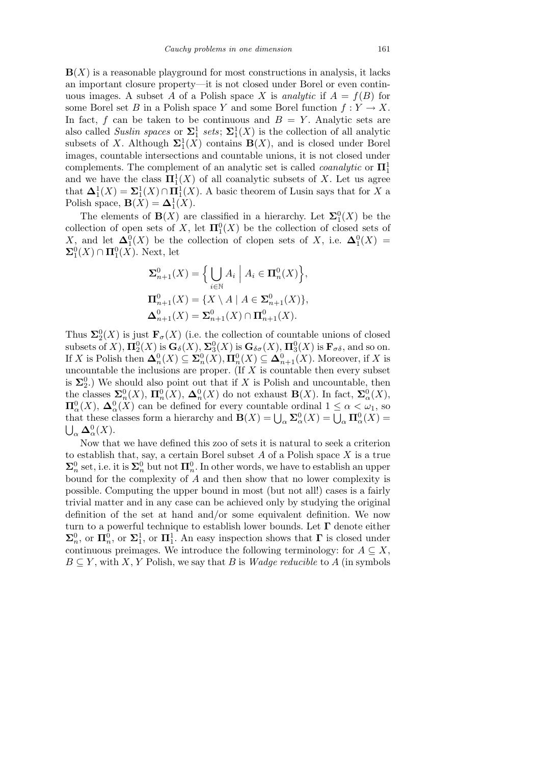$\mathbf{B}(X)$  is a reasonable playground for most constructions in analysis, it lacks an important closure property—it is not closed under Borel or even continuous images. A subset A of a Polish space X is *analytic* if  $A = f(B)$  for some Borel set *B* in a Polish space *Y* and some Borel function  $f: Y \to X$ . In fact,  $f$  can be taken to be continuous and  $B = Y$ . Analytic sets are also called *Suslin spaces* or  $\Sigma_1^1$  sets;  $\Sigma_1^1(X)$  is the collection of all analytic subsets of *X*. Although  $\Sigma_1^1(X)$  contains  $B(X)$ , and is closed under Borel images, countable intersections and countable unions, it is not closed under complements. The complement of an analytic set is called *coanalytic* or **Π**<sup>1</sup> 1 and we have the class  $\Pi_1^1(X)$  of all coanalytic subsets of X. Let us agree that  $\Delta_1^1(X) = \Sigma_1^1(X) \cap \Pi_1^1(X)$ . A basic theorem of Lusin says that for *X* a Polish space,  $\mathbf{B}(X) = \mathbf{\Delta}_1^1(X)$ .

The elements of **B**(*X*) are classified in a hierarchy. Let  $\Sigma_1^0(X)$  be the collection of open sets of *X*, let  $\Pi_1^0(X)$  be the collection of closed sets of *X*, and let  $\Delta_1^0(X)$  be the collection of clopen sets of *X*, i.e.  $\Delta_1^0(X)$  =  $\mathbf{\Sigma}^0_1(X) \cap \mathbf{\Pi}^0_1(X)$ . Next, let

$$
\Sigma_{n+1}^{0}(X) = \Big\{ \bigcup_{i \in \mathbb{N}} A_i \mid A_i \in \mathbf{\Pi}_{n}^{0}(X) \Big\},
$$
  

$$
\Pi_{n+1}^{0}(X) = \{ X \setminus A \mid A \in \Sigma_{n+1}^{0}(X) \},
$$
  

$$
\Delta_{n+1}^{0}(X) = \Sigma_{n+1}^{0}(X) \cap \Pi_{n+1}^{0}(X).
$$

Thus  $\Sigma_2^0(X)$  is just  $\mathbf{F}_{\sigma}(X)$  (i.e. the collection of countable unions of closed subsets of *X*),  $\Pi_2^0(X)$  is  $\mathbf{G}_{\delta}(X)$ ,  $\Sigma_3^0(X)$  is  $\mathbf{G}_{\delta\sigma}(X)$ ,  $\Pi_3^0(X)$  is  $\mathbf{F}_{\sigma\delta}$ , and so on. If *X* is Polish then  $\Delta_n^0(X) \subseteq \Sigma_n^0(X), \Pi_n^0(X) \subseteq \Delta_{n+1}^0(X)$ . Moreover, if *X* is uncountable the inclusions are proper. (If *X* is countable then every subset is  $\Sigma_2^0$ .) We should also point out that if *X* is Polish and uncountable, then the classes  $\mathbf{\Sigma}_n^0(X)$ ,  $\mathbf{\Pi}_n^0(X)$ ,  $\mathbf{\Delta}_n^0(X)$  do not exhaust  $\mathbf{B}(X)$ . In fact,  $\mathbf{\Sigma}_\alpha^0(X)$ ,  $\Pi^0_\alpha(X)$ ,  $\Delta^0_\alpha(X)$  can be defined for every countable ordinal  $1 \leq \alpha < \omega_1$ , so **i**  $\mathbf{a} \cdot \mathbf{a} \cdot \mathbf{a} \cdot \mathbf{a}$  (*x*) can be defined for every countable ordinal  $1 \leq \alpha < \omega_1$ , so that these classes form a hierarchy and  $\mathbf{B}(X) = \bigcup_{\alpha} \mathbf{\Sigma}_{\alpha}^0(X) = \bigcup_{\alpha} \mathbf{\Pi}_{\alpha}^0(X) =$  $\alpha$   $\Delta^0_\alpha$ (*X*).

Now that we have defined this zoo of sets it is natural to seek a criterion to establish that, say, a certain Borel subset *A* of a Polish space *X* is a true  $\Sigma_n^0$  set, i.e. it is  $\Sigma_n^0$  but not  $\Pi_n^0$ . In other words, we have to establish an upper bound for the complexity of *A* and then show that no lower complexity is possible. Computing the upper bound in most (but not all!) cases is a fairly trivial matter and in any case can be achieved only by studying the original definition of the set at hand and/or some equivalent definition. We now turn to a powerful technique to establish lower bounds. Let **Γ** denote either  $\Sigma_n^0$ , or  $\Pi_n^1$ , or  $\Pi_1^1$ . An easy inspection shows that **Γ** is closed under continuous preimages. We introduce the following terminology: for  $A \subseteq X$ ,  $B \subseteq Y$ , with *X*, *Y* Polish, we say that *B* is *Wadge reducible* to *A* (in symbols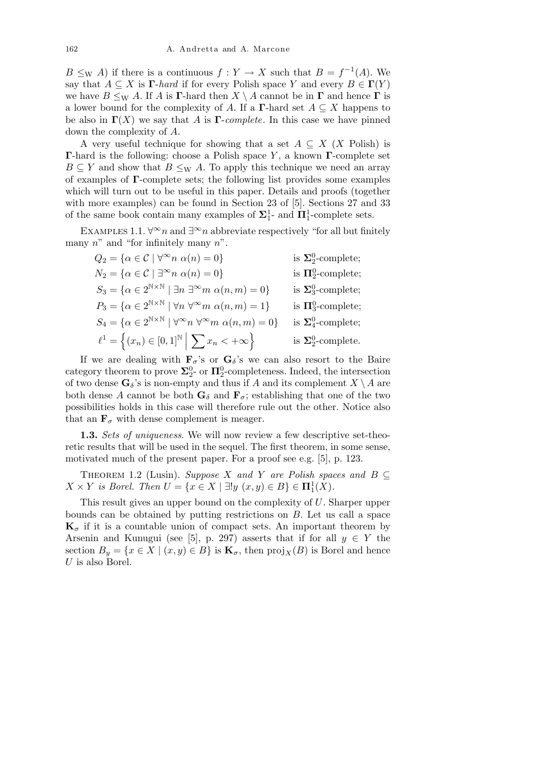$B \leq_W A$  if there is a continuous  $f: Y \to X$  such that  $B = f^{-1}(A)$ . We say that  $A \subseteq X$  is  $\Gamma$ -*hard* if for every Polish space *Y* and every  $B \in \Gamma(Y)$ we have  $B \leq_{\text{W}} A$ . If *A* is **Γ**-hard then  $X \setminus A$  cannot be in **Γ** and hence **Γ** is a lower bound for the complexity of *A*. If a **Γ**-hard set  $A \subseteq X$  happens to be also in  $\Gamma(X)$  we say that *A* is  $\Gamma$ -*complete*. In this case we have pinned down the complexity of *A*.

A very useful technique for showing that a set  $A \subseteq X$  (*X* Polish) is **Γ**-hard is the following: choose a Polish space *Y* , a known **Γ**-complete set  $B \subseteq Y$  and show that  $B \leq_W A$ . To apply this technique we need an array of examples of **Γ**-complete sets; the following list provides some examples which will turn out to be useful in this paper. Details and proofs (together with more examples) can be found in Section 23 of [5]. Sections 27 and 33 of the same book contain many examples of  $\Sigma_1^1$ - and  $\Pi_1^1$ -complete sets.

EXAMPLES 1.1.  $\forall^{\infty}n$  and  $\exists^{\infty}n$  abbreviate respectively "for all but finitely many *n*" and "for infinitely many *n*".

| $Q_2 = {\alpha \in \mathcal{C} \mid \forall^{\infty} n \alpha(n) = 0}$                                                   | is $\Sigma^0_2$ -complete;                |
|--------------------------------------------------------------------------------------------------------------------------|-------------------------------------------|
| $N_2 = \{ \alpha \in \mathcal{C} \mid \exists^{\infty} n \alpha(n) = 0 \}$                                               | is $\Pi^0_2$ -complete;                   |
| $S_3 = \{ \alpha \in 2^{\mathbb{N} \times \mathbb{N}} \mid \exists n \exists^{\infty} m \alpha(n,m) = 0 \}$              | is $\Sigma_3^0$ -complete;                |
| $P_3 = \{ \alpha \in 2^{\mathbb{N} \times \mathbb{N}} \mid \forall n \; \forall^{\infty} m \; \alpha(n,m) = 1 \}$        | is $\Pi^0_3$ -complete;                   |
| $S_4 = \{ \alpha \in 2^{\mathbb{N} \times \mathbb{N}} \mid \forall^{\infty} n \ \forall^{\infty} m \ \alpha(n,m) = 0 \}$ | is $\Sigma_4^0$ -complete;                |
| $\ell^1 = \{(x_n) \in [0,1]^{\mathbb{N}} \mid \sum x_n < +\infty\}$                                                      | is $\mathbf{\Sigma}^0_2\text{-complete.}$ |

If we are dealing with  $\mathbf{F}_{\sigma}$ 's or  $\mathbf{G}_{\delta}$ 's we can also resort to the Baire category theorem to prove  $\Sigma_2^0$ - or  $\Pi_2^0$ -completeness. Indeed, the intersection of two dense  $\mathbf{G}_{\delta}$ 's is non-empty and thus if *A* and its complement  $X \setminus A$  are both dense A cannot be both  $\mathbf{G}_{\delta}$  and  $\mathbf{F}_{\sigma}$ ; establishing that one of the two possibilities holds in this case will therefore rule out the other. Notice also that an  $\mathbf{F}_{\sigma}$  with dense complement is meager.

**1.3.** *Sets of uniqueness*. We will now review a few descriptive set-theoretic results that will be used in the sequel. The first theorem, in some sense, motivated much of the present paper. For a proof see e.g. [5], p. 123.

THEOREM 1.2 (Lusin). *Suppose X* and *Y* are Polish spaces and  $B \subseteq$  $X \times Y$  *is Borel. Then*  $U = \{x \in X \mid \exists! y \ (x, y) \in B\} \in \mathbf{\Pi}^1_1(X)$ *.* 

This result gives an upper bound on the complexity of *U*. Sharper upper bounds can be obtained by putting restrictions on *B*. Let us call a space  $\mathbf{K}_{\sigma}$  if it is a countable union of compact sets. An important theorem by Arsenin and Kunugui (see [5], p. 297) asserts that if for all  $y \in Y$  the section  $B_y = \{x \in X \mid (x, y) \in B\}$  is  $\mathbf{K}_{\sigma}$ , then  $\text{proj}_X(B)$  is Borel and hence *U* is also Borel.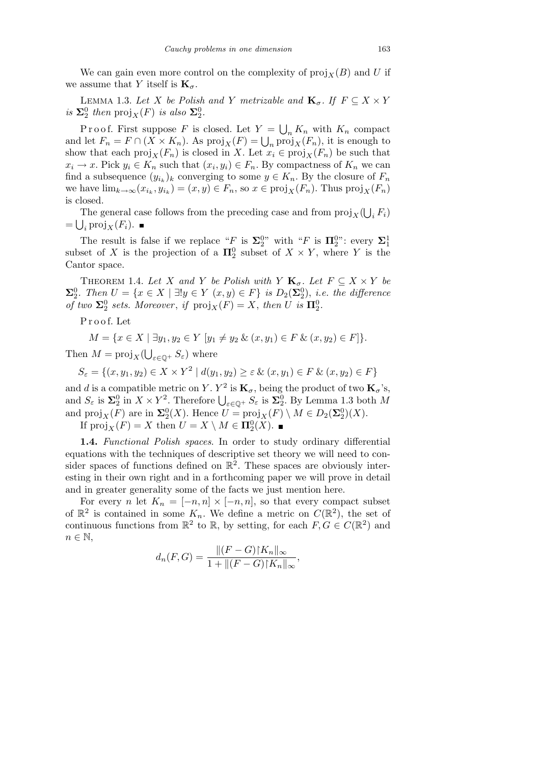We can gain even more control on the complexity of  $proj_X(B)$  and *U* if we assume that *Y* itself is  $\mathbf{K}_{\sigma}$ .

LEMMA 1.3. Let *X* be Polish and *Y* metrizable and  $\mathbf{K}_{\sigma}$ . If  $F \subseteq X \times Y$  $i$ *s*  $\Sigma_2^0$  *then*  $proj_X(F)$  *is also*  $\Sigma_2^0$ *.* 

Proof. First suppose *F* is closed. Let  $Y =$ S  $K_n$  with  $K_n$  compact and let  $F_n = F \cap (X \times K_n)$ . As  $\text{proj}_X(F) = \bigcup_n \text{proj}_X(F_n)$ , it is enough to show that each  $proj_X(F_n)$  is closed in *X*. Let  $x_i \in proj_X(F_n)$  be such that  $x_i \to x$ . Pick  $y_i \in K_n$  such that  $(x_i, y_i) \in F_n$ . By compactness of  $K_n$  we can find a subsequence  $(y_{i_k})_k$  converging to some  $y \in K_n$ . By the closure of  $F_n$ we have  $\lim_{k\to\infty}(x_{i_k}, y_{i_k}) = (x, y) \in F_n$ , so  $x \in \text{proj}_X(F_n)$ . Thus  $\text{proj}_X(F_n)$ is closed. S

The general case follows from the preceding case and from  $proj_X$ The general case follows from the preceding case and from  $\text{proj}_X(\bigcup_i F_i)$  $= \bigcup_i \text{proj}_X(F_i).$ 

The result is false if we replace "*F* is  $\Sigma_2^{0}$ " with "*F* is  $\Pi_2^{0}$ ": every  $\Sigma_1^1$ subset of *X* is the projection of a  $\Pi_2^0$  subset of  $X \times Y$ , where *Y* is the Cantor space.

THEOREM 1.4. Let *X* and *Y* be Polish with *Y*  $\mathbf{K}_{\sigma}$ . Let  $F \subseteq X \times Y$  be  $\Sigma^0_2$ . Then  $U = \{x \in X \mid \exists! y \in Y \ (x, y) \in F\}$  is  $D_2(\Sigma^0_2)$ , *i.e. the difference of two*  $\Sigma^0_2$  *sets. Moreover*, *if*  $proj_X(F) = X$ *, then U is*  $\Pi^0_2$ *.* 

P r o o f. Let

$$
M = \{ x \in X \mid \exists y_1, y_2 \in Y \ [y_1 \neq y_2 \ \& \ (x, y_1) \in F \ \& \ (x, y_2) \in F \} \}.
$$

Then  $M = \text{proj}_X$ S.  $\epsilon$ <sup>ε</sup>∈Q<sup>+</sup>  $S$ <sup>ε</sup>) where

$$
S_{\varepsilon} = \{(x, y_1, y_2) \in X \times Y^2 \mid d(y_1, y_2) \ge \varepsilon \& (x, y_1) \in F \& (x, y_2) \in F\}
$$

and *d* is a compatible metric on *Y*.  $Y^2$  is  $\mathbf{K}_{\sigma}$ , being the product of two  $\mathbf{K}_{\sigma}$ 's, and *a* is a compatible metric on *Y*. *Y* is  $\mathbf{R}_{\sigma}$ , being the product of two  $\mathbf{R}_{\sigma}$  s,<br>and  $S_{\varepsilon}$  is  $\Sigma_2^0$  in  $X \times Y^2$ . Therefore  $\bigcup_{\varepsilon \in \mathbb{Q}^+} S_{\varepsilon}$  is  $\Sigma_2^0$ . By Lemma 1.3 both *M* and  $\text{proj}_X(F)$  are in  $\Sigma_2^0(X)$ . Hence  $U = \text{proj}_X(F) \setminus M \in D_2(\Sigma_2^0)(X)$ .

If  $proj_X(F) = X$  then  $U = X \setminus M \in \mathbf{\Pi}^0_2(X)$ .

**1.4.** *Functional Polish spaces*. In order to study ordinary differential equations with the techniques of descriptive set theory we will need to consider spaces of functions defined on  $\mathbb{R}^2$ . These spaces are obviously interesting in their own right and in a forthcoming paper we will prove in detail and in greater generality some of the facts we just mention here.

For every *n* let  $K_n = [-n, n] \times [-n, n]$ , so that every compact subset of  $\mathbb{R}^2$  is contained in some  $K_n$ . We define a metric on  $C(\mathbb{R}^2)$ , the set of continuous functions from  $\mathbb{R}^2$  to  $\mathbb{R}$ , by setting, for each  $F, G \in C(\mathbb{R}^2)$  and  $n \in \mathbb{N}$ ,

$$
d_n(F,G) = \frac{\|(F-G)|K_n\|_{\infty}}{1 + \|(F-G)|K_n\|_{\infty}},
$$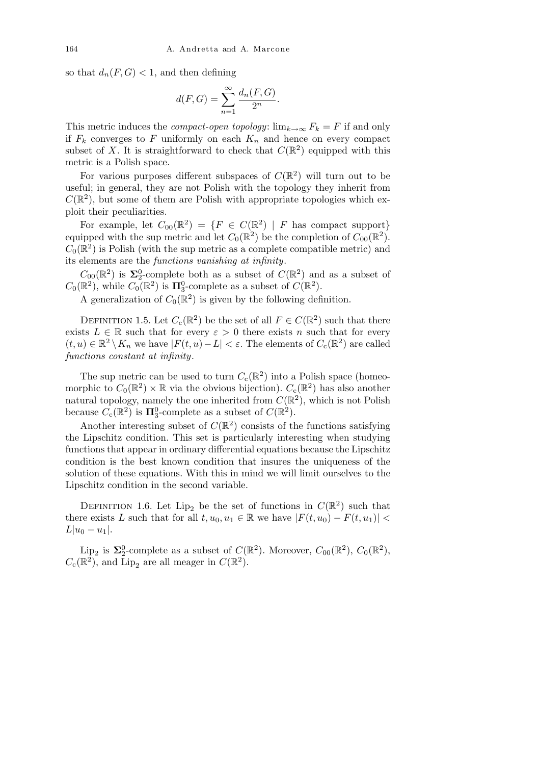so that  $d_n(F, G) < 1$ , and then defining

$$
d(F,G) = \sum_{n=1}^{\infty} \frac{d_n(F,G)}{2^n}.
$$

This metric induces the *compact-open topology*:  $\lim_{k\to\infty} F_k = F$  if and only if  $F_k$  converges to  $F$  uniformly on each  $K_n$  and hence on every compact subset of X. It is straightforward to check that  $C(\mathbb{R}^2)$  equipped with this metric is a Polish space.

For various purposes different subspaces of  $C(\mathbb{R}^2)$  will turn out to be useful; in general, they are not Polish with the topology they inherit from  $C(\mathbb{R}^2)$ , but some of them are Polish with appropriate topologies which exploit their peculiarities.

For example, let  $C_{00}(\mathbb{R}^2) = \{F \in C(\mathbb{R}^2) \mid F \text{ has compact support}\}\$ equipped with the sup metric and let  $C_0(\mathbb{R}^2)$  be the completion of  $C_{00}(\mathbb{R}^2)$ .  $C_0(\mathbb{R}^2)$  is Polish (with the sup metric as a complete compatible metric) and its elements are the *functions vanishing at infinity*.

 $C_{00}(\mathbb{R}^2)$  is  $\Sigma_2^0$ -complete both as a subset of  $C(\mathbb{R}^2)$  and as a subset of  $C_0(\mathbb{R}^2)$ , while  $C_0(\mathbb{R}^2)$  is  $\Pi_3^0$ -complete as a subset of  $C(\mathbb{R}^2)$ .

A generalization of  $C_0(\mathbb{R}^2)$  is given by the following definition.

DEFINITION 1.5. Let  $C_c(\mathbb{R}^2)$  be the set of all  $F \in C(\mathbb{R}^2)$  such that there exists  $L \in \mathbb{R}$  such that for every  $\varepsilon > 0$  there exists *n* such that for every  $(t, u) \in \mathbb{R}^2 \setminus K_n$  we have  $|F(t, u) - L| < \varepsilon$ . The elements of  $C_c(\mathbb{R}^2)$  are called *functions constant at infinity*.

The sup metric can be used to turn  $C_c(\mathbb{R}^2)$  into a Polish space (homeomorphic to  $C_0(\mathbb{R}^2) \times \mathbb{R}$  via the obvious bijection).  $C_c(\mathbb{R}^2)$  has also another natural topology, namely the one inherited from  $C(\mathbb{R}^2)$ , which is not Polish because  $C_c(\mathbb{R}^2)$  is  $\Pi_3^0$ -complete as a subset of  $C(\mathbb{R}^2)$ .

Another interesting subset of  $C(\mathbb{R}^2)$  consists of the functions satisfying the Lipschitz condition. This set is particularly interesting when studying functions that appear in ordinary differential equations because the Lipschitz condition is the best known condition that insures the uniqueness of the solution of these equations. With this in mind we will limit ourselves to the Lipschitz condition in the second variable.

DEFINITION 1.6. Let Lip<sub>2</sub> be the set of functions in  $C(\mathbb{R}^2)$  such that there exists *L* such that for all  $t, u_0, u_1 \in \mathbb{R}$  we have  $|F(t, u_0) - F(t, u_1)|$  $L|u_0 - u_1|$ .

Lip<sub>2</sub> is  $\Sigma_2^0$ -complete as a subset of  $C(\mathbb{R}^2)$ . Moreover,  $C_{00}(\mathbb{R}^2)$ ,  $C_0(\mathbb{R}^2)$ ,  $C_c(\mathbb{R}^2)$ , and Lip<sub>2</sub> are all meager in  $C(\mathbb{R}^2)$ .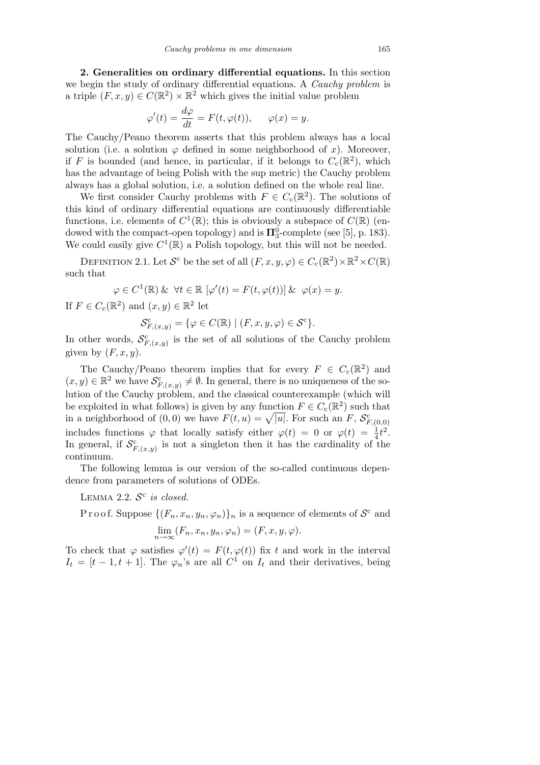**2. Generalities on ordinary differential equations.** In this section we begin the study of ordinary differential equations. A *Cauchy problem* is a triple  $(F, x, y) \in C(\mathbb{R}^2) \times \mathbb{R}^2$  which gives the initial value problem

$$
\varphi'(t) = \frac{d\varphi}{dt} = F(t, \varphi(t)), \qquad \varphi(x) = y.
$$

The Cauchy/Peano theorem asserts that this problem always has a local solution (i.e. a solution  $\varphi$  defined in some neighborhood of *x*). Moreover, if *F* is bounded (and hence, in particular, if it belongs to  $C_c(\mathbb{R}^2)$ , which has the advantage of being Polish with the sup metric) the Cauchy problem always has a global solution, i.e. a solution defined on the whole real line.

We first consider Cauchy problems with  $F \in C_c(\mathbb{R}^2)$ . The solutions of this kind of ordinary differential equations are continuously differentiable functions, i.e. elements of  $C^1(\mathbb{R})$ ; this is obviously a subspace of  $C(\mathbb{R})$  (endowed with the compact-open topology) and is  $\Pi_3^0$ -complete (see [5], p. 183). We could easily give  $C^1(\mathbb{R})$  a Polish topology, but this will not be needed.

DEFINITION 2.1. Let  $S^c$  be the set of all  $(F, x, y, \varphi) \in C_c(\mathbb{R}^2) \times \mathbb{R}^2 \times C(\mathbb{R})$ such that

$$
\varphi \in C^1(\mathbb{R}) \& \forall t \in \mathbb{R} \left[ \varphi'(t) = F(t, \varphi(t)) \right] \& \varphi(x) = y.
$$

If  $F \in C_c(\mathbb{R}^2)$  and  $(x, y) \in \mathbb{R}^2$  let

$$
\mathcal{S}_{F,(x,y)}^{\mathsf{c}} = \{ \varphi \in C(\mathbb{R}) \mid (F, x, y, \varphi) \in \mathcal{S}^{\mathsf{c}} \}.
$$

In other words,  $S_{F,(x,y)}^c$  is the set of all solutions of the Cauchy problem given by  $(F, x, y)$ .

The Cauchy/Peano theorem implies that for every  $F \in C_c(\mathbb{R}^2)$  and  $(x, y) \in \mathbb{R}^2$  we have  $\mathcal{S}_{F,(x,y)}^c \neq \emptyset$ . In general, there is no uniqueness of the solution of the Cauchy problem, and the classical counterexample (which will be exploited in what follows) is given by any function  $F \in C_c(\mathbb{R}^2)$  such that in a neighborhood of  $(0,0)$  we have  $F(t, u) = \sqrt{|u|}$ . For such an  $F$ ,  $S_{F,(0,0)}^c$ includes functions  $\varphi$  that locally satisfy either  $\varphi(t) = 0$  or  $\varphi(t) = \frac{1}{4}t^2$ . In general, if  $S_{F,(x,y)}^c$  is not a singleton then it has the cardinality of the continuum.

The following lemma is our version of the so-called continuous dependence from parameters of solutions of ODEs.

LEMMA 2.2.  $S<sup>c</sup>$  is closed.

Proof. Suppose  $\{(F_n, x_n, y_n, \varphi_n)\}_n$  is a sequence of elements of  $\mathcal{S}^c$  and  $\lim_{n\to\infty}(F_n, x_n, y_n, \varphi_n) = (F, x, y, \varphi).$ 

To check that  $\varphi$  satisfies  $\varphi'(t) = F(t, \varphi(t))$  fix *t* and work in the interval  $I_t = [t - 1, t + 1]$ . The  $\varphi_n$ 's are all  $C^1$  on  $I_t$  and their derivatives, being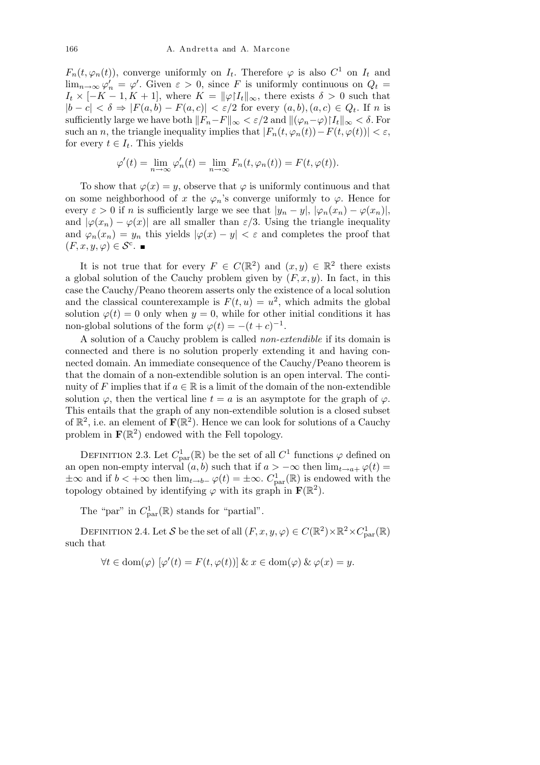$F_n(t, \varphi_n(t))$ , converge uniformly on  $I_t$ . Therefore  $\varphi$  is also  $C^1$  on  $I_t$  and  $\lim_{n\to\infty}\varphi'_n = \varphi'.$  Given  $\varepsilon > 0$ , since *F* is uniformly continuous on  $Q_t =$  $I_t \times [-K-1, K+1]$ , where  $K = ||\varphi|I_t||_{\infty}$ , there exists  $\delta > 0$  such that  $|b - c|$  <  $\delta$  ⇒  $|F(a, b) - F(a, c)|$  <  $\varepsilon/2$  for every  $(a, b), (a, c) \in Q_t$ . If *n* is sufficiently large we have both  $||F_n-F||_{\infty} < \varepsilon/2$  and  $||(\varphi_n-\varphi)|I_t||_{\infty} < \delta$ . For such an *n*, the triangle inequality implies that  $|F_n(t, \varphi_n(t)) - F(t, \varphi(t))| < \varepsilon$ , for every  $t \in I_t$ . This yields

$$
\varphi'(t) = \lim_{n \to \infty} \varphi'_n(t) = \lim_{n \to \infty} F_n(t, \varphi_n(t)) = F(t, \varphi(t)).
$$

To show that  $\varphi(x) = y$ , observe that  $\varphi$  is uniformly continuous and that on some neighborhood of *x* the  $\varphi_n$ 's converge uniformly to  $\varphi$ . Hence for every  $\varepsilon > 0$  if *n* is sufficiently large we see that  $|y_n - y|, |\varphi_n(x_n) - \varphi(x_n)|$ , and  $|\varphi(x_n) - \varphi(x)|$  are all smaller than  $\varepsilon/3$ . Using the triangle inequality and  $\varphi_n(x_n) = y_n$  this yields  $|\varphi(x) - y| < \varepsilon$  and completes the proof that  $(F, x, y, \varphi) \in \mathcal{S}^{\mathsf{c}}$ .

It is not true that for every  $F \in C(\mathbb{R}^2)$  and  $(x, y) \in \mathbb{R}^2$  there exists a global solution of the Cauchy problem given by  $(F, x, y)$ . In fact, in this case the Cauchy/Peano theorem asserts only the existence of a local solution and the classical counterexample is  $F(t, u) = u^2$ , which admits the global solution  $\varphi(t) = 0$  only when  $y = 0$ , while for other initial conditions it has non-global solutions of the form  $\varphi(t) = -(t+c)^{-1}$ .

A solution of a Cauchy problem is called *non-extendible* if its domain is connected and there is no solution properly extending it and having connected domain. An immediate consequence of the Cauchy/Peano theorem is that the domain of a non-extendible solution is an open interval. The continuity of *F* implies that if  $a \in \mathbb{R}$  is a limit of the domain of the non-extendible solution  $\varphi$ , then the vertical line  $t = a$  is an asymptote for the graph of  $\varphi$ . This entails that the graph of any non-extendible solution is a closed subset of  $\mathbb{R}^2$ , i.e. an element of  $\mathbf{F}(\mathbb{R}^2)$ . Hence we can look for solutions of a Cauchy problem in  $\mathbf{F}(\mathbb{R}^2)$  endowed with the Fell topology.

DEFINITION 2.3. Let  $C_{\text{par}}^1(\mathbb{R})$  be the set of all  $C^1$  functions  $\varphi$  defined on an open non-empty interval  $(a, b)$  such that if  $a > -\infty$  then  $\lim_{t \to a^+} \varphi(t) =$  $±∞$  and if  $b < +∞$  then  $\lim_{t\to b^-} φ(t) = ±∞$ .  $C^1_{\text{par}}(\mathbb{R})$  is endowed with the topology obtained by identifying  $\varphi$  with its graph in  $\mathbf{F}(\mathbb{R}^2)$ .

The "par" in  $C_{\text{par}}^1(\mathbb{R})$  stands for "partial".

DEFINITION 2.4. Let *S* be the set of all  $(F, x, y, \varphi) \in C(\mathbb{R}^2) \times \mathbb{R}^2 \times C_{\text{par}}^1(\mathbb{R})$ such that

$$
\forall t \in \text{dom}(\varphi) \, [\varphi'(t) = F(t, \varphi(t))] \& x \in \text{dom}(\varphi) \& \varphi(x) = y.
$$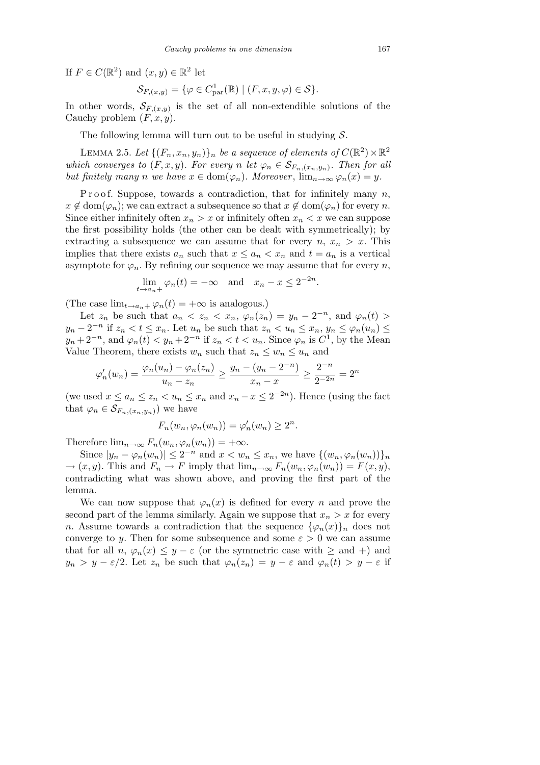If  $F \in C(\mathbb{R}^2)$  and  $(x, y) \in \mathbb{R}^2$  let

$$
\mathcal{S}_{F,(x,y)} = \{ \varphi \in C^1_{\text{par}}(\mathbb{R}) \mid (F, x, y, \varphi) \in \mathcal{S} \}.
$$

In other words,  $S_{F,(x,y)}$  is the set of all non-extendible solutions of the Cauchy problem (*F, x, y*).

The following lemma will turn out to be useful in studying *S*.

LEMMA 2.5. Let  $\{(F_n, x_n, y_n)\}_n$  be a sequence of elements of  $C(\mathbb{R}^2) \times \mathbb{R}^2$ *which converges to*  $(F, x, y)$ *. For every n let*  $\varphi_n \in S_{F_n, (x_n, y_n)}$ *. Then for all but finitely many n we have*  $x \in \text{dom}(\varphi_n)$ *. Moreover*,  $\lim_{n \to \infty} \varphi_n(x) = y$ *.* 

Proof. Suppose, towards a contradiction, that for infinitely many *n*,  $x \notin \text{dom}(\varphi_n)$ ; we can extract a subsequence so that  $x \notin \text{dom}(\varphi_n)$  for every *n*. Since either infinitely often  $x_n > x$  or infinitely often  $x_n < x$  we can suppose the first possibility holds (the other can be dealt with symmetrically); by extracting a subsequence we can assume that for every  $n, x_n > x$ . This implies that there exists  $a_n$  such that  $x \le a_n < x_n$  and  $t = a_n$  is a vertical asymptote for  $\varphi_n$ . By refining our sequence we may assume that for every *n*,

$$
\lim_{t \to a_n+} \varphi_n(t) = -\infty \quad \text{and} \quad x_n - x \le 2^{-2n}.
$$

(The case  $\lim_{t\to a_n+\varphi_n}(t) = +\infty$  is analogous.)

Let  $z_n$  be such that  $a_n < z_n < x_n$ ,  $\varphi_n(z_n) = y_n - 2^{-n}$ , and  $\varphi_n(t) >$  $y_n - 2^{-n}$  if  $z_n < t \leq x_n$ . Let  $u_n$  be such that  $z_n < u_n \leq x_n$ ,  $y_n \leq \varphi_n(u_n) \leq$  $y_n + 2^{-n}$ , and  $\varphi_n(t) < y_n + 2^{-n}$  if  $z_n < t < u_n$ . Since  $\varphi_n$  is  $C^1$ , by the Mean Value Theorem, there exists  $w_n$  such that  $z_n \leq w_n \leq u_n$  and

$$
\varphi'_n(w_n) = \frac{\varphi_n(u_n) - \varphi_n(z_n)}{u_n - z_n} \ge \frac{y_n - (y_n - 2^{-n})}{x_n - x} \ge \frac{2^{-n}}{2^{-2n}} = 2^n
$$

(we used  $x \le a_n \le z_n < u_n \le x_n$  and  $x_n - x \le 2^{-2n}$ ). Hence (using the fact that  $\varphi_n \in \mathcal{S}_{F_n,(x_n,y_n)}$  we have

$$
F_n(w_n, \varphi_n(w_n)) = \varphi'_n(w_n) \ge 2^n.
$$

Therefore  $\lim_{n\to\infty} F_n(w_n,\varphi_n(w_n)) = +\infty$ .

Since  $|y_n - \varphi_n(w_n)| \leq 2^{-n}$  and  $x < w_n \leq x_n$ , we have  $\{(w_n, \varphi_n(w_n))\}_n$  $\rightarrow$   $(x, y)$ . This and  $F_n \rightarrow F$  imply that  $\lim_{n \to \infty} F_n(w_n, \varphi_n(w_n)) = F(x, y)$ , contradicting what was shown above, and proving the first part of the lemma.

We can now suppose that  $\varphi_n(x)$  is defined for every *n* and prove the second part of the lemma similarly. Again we suppose that  $x_n > x$  for every *n*. Assume towards a contradiction that the sequence  $\{\varphi_n(x)\}_n$  does not converge to *y*. Then for some subsequence and some  $\varepsilon > 0$  we can assume that for all *n*,  $\varphi_n(x) \leq y - \varepsilon$  (or the symmetric case with  $\geq$  and  $+$ ) and *y*<sub>n</sub> > *y −*  $\epsilon/2$ . Let  $z_n$  be such that  $\varphi_n(z_n) = y - \epsilon$  and  $\varphi_n(t) > y - \epsilon$  if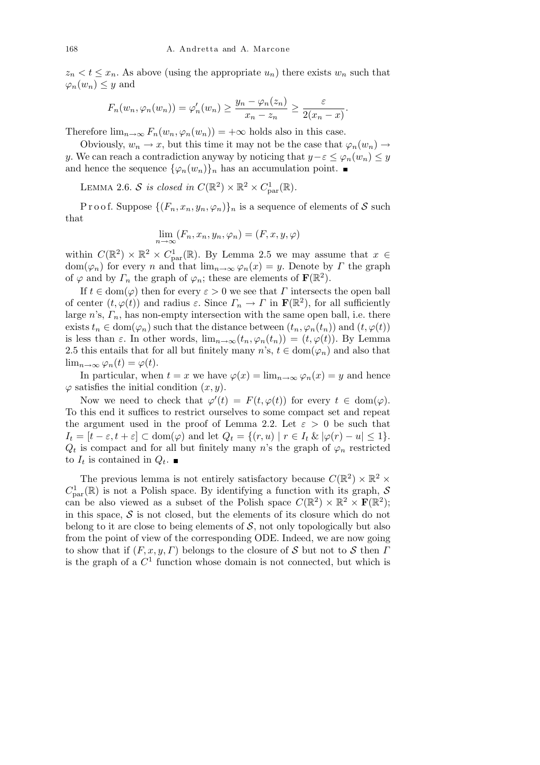$z_n < t \leq x_n$ . As above (using the appropriate  $u_n$ ) there exists  $w_n$  such that  $\varphi_n(w_n) \leq y$  and

$$
F_n(w_n, \varphi_n(w_n)) = \varphi'_n(w_n) \ge \frac{y_n - \varphi_n(z_n)}{x_n - z_n} \ge \frac{\varepsilon}{2(x_n - x)}
$$

*.*

Therefore  $\lim_{n\to\infty} F_n(w_n,\varphi_n(w_n)) = +\infty$  holds also in this case.

Obviously,  $w_n \to x$ , but this time it may not be the case that  $\varphi_n(w_n) \to$ *y*. We can reach a contradiction anyway by noticing that  $y - \varepsilon \leq \varphi_n(w_n) \leq y$ and hence the sequence  $\{\varphi_n(w_n)\}_n$  has an accumulation point.

LEMMA 2.6. *S is closed in*  $C(\mathbb{R}^2) \times \mathbb{R}^2 \times C_{\text{par}}^1(\mathbb{R})$ .

Proof. Suppose  $\{(F_n, x_n, y_n, \varphi_n)\}_n$  is a sequence of elements of S such that

$$
\lim_{n \to \infty} (F_n, x_n, y_n, \varphi_n) = (F, x, y, \varphi)
$$

within  $C(\mathbb{R}^2) \times \mathbb{R}^2 \times C_{\text{par}}^1(\mathbb{R})$ . By Lemma 2.5 we may assume that  $x \in$ dom( $\varphi_n$ ) for every *n* and that  $\lim_{n\to\infty}\varphi_n(x)=y$ . Denote by *Γ* the graph of  $\varphi$  and by  $\Gamma_n$  the graph of  $\varphi_n$ ; these are elements of  $\mathbf{F}(\mathbb{R}^2)$ .

If  $t \in \text{dom}(\varphi)$  then for every  $\varepsilon > 0$  we see that *Γ* intersects the open ball of center  $(t, \varphi(t))$  and radius  $\varepsilon$ . Since  $\Gamma_n \to \Gamma$  in  $\mathbf{F}(\mathbb{R}^2)$ , for all sufficiently large  $n$ 's,  $\Gamma_n$ , has non-empty intersection with the same open ball, i.e. there exists  $t_n \in \text{dom}(\varphi_n)$  such that the distance between  $(t_n, \varphi_n(t_n))$  and  $(t, \varphi(t))$ is less than  $\varepsilon$ . In other words,  $\lim_{n\to\infty}(t_n,\varphi_n(t_n))=(t,\varphi(t))$ . By Lemma 2.5 this entails that for all but finitely many *n*'s,  $t \in \text{dom}(\varphi_n)$  and also that lim<sub>*n*→∞</sub>  $\varphi_n(t) = \varphi(t)$ .

In particular, when  $t = x$  we have  $\varphi(x) = \lim_{n \to \infty} \varphi_n(x) = y$  and hence  $\varphi$  satisfies the initial condition  $(x, y)$ .

Now we need to check that  $\varphi'(t) = F(t, \varphi(t))$  for every  $t \in \text{dom}(\varphi)$ . To this end it suffices to restrict ourselves to some compact set and repeat the argument used in the proof of Lemma 2.2. Let  $\varepsilon > 0$  be such that  $I_t = [t - \varepsilon, t + \varepsilon] \subset \text{dom}(\varphi)$  and let  $Q_t = \{(r, u) \mid r \in I_t \& |\varphi(r) - u| \leq 1\}.$  $Q_t$  is compact and for all but finitely many *n*'s the graph of  $\varphi_n$  restricted to  $I_t$  is contained in  $Q_t$ .

The previous lemma is not entirely satisfactory because  $C(\mathbb{R}^2) \times \mathbb{R}^2 \times$  $C_{\text{par}}^1(\mathbb{R})$  is not a Polish space. By identifying a function with its graph,  $S$ can be also viewed as a subset of the Polish space  $C(\mathbb{R}^2) \times \mathbb{R}^2 \times \mathbf{F}(\mathbb{R}^2)$ ; in this space,  $S$  is not closed, but the elements of its closure which do not belong to it are close to being elements of  $S$ , not only topologically but also from the point of view of the corresponding ODE. Indeed, we are now going to show that if  $(F, x, y, \Gamma)$  belongs to the closure of *S* but not to *S* then *Γ* is the graph of a  $C<sup>1</sup>$  function whose domain is not connected, but which is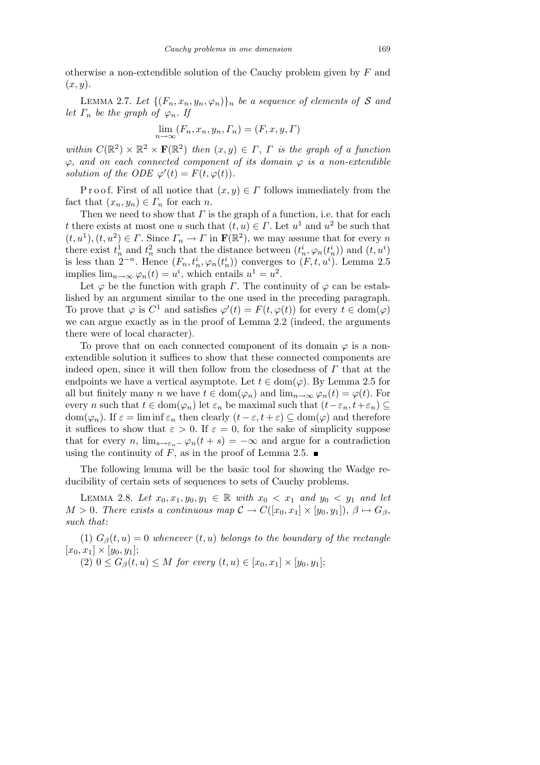otherwise a non-extendible solution of the Cauchy problem given by *F* and (*x, y*).

LEMMA 2.7. Let  $\{(F_n, x_n, y_n, \varphi_n)\}_n$  be a sequence of elements of S and *let*  $\Gamma_n$  *be the graph of*  $\varphi_n$ *. If* 

$$
\lim_{n \to \infty} (F_n, x_n, y_n, \Gamma_n) = (F, x, y, \Gamma)
$$

*within*  $C(\mathbb{R}^2) \times \mathbb{R}^2 \times \mathbf{F}(\mathbb{R}^2)$  *then*  $(x, y) \in \Gamma$ ,  $\Gamma$  *is the graph of a function*  $\varphi$ , and on each connected component of its domain  $\varphi$  *is a non-extendible solution of the ODE*  $\varphi'(t) = F(t, \varphi(t))$ *.* 

P r o o f. First of all notice that  $(x, y) \in \Gamma$  follows immediately from the fact that  $(x_n, y_n) \in \Gamma_n$  for each *n*.

Then we need to show that *Γ* is the graph of a function, i.e. that for each *t* there exists at most one *u* such that  $(t, u) \in \Gamma$ . Let  $u^1$  and  $u^2$  be such that  $(t, u<sup>1</sup>), (t, u<sup>2</sup>) \in \Gamma$ . Since  $\Gamma_n \to \Gamma$  in  $\mathbf{F}(\mathbb{R}^2)$ , we may assume that for every *n* there exist  $t_n^1$  and  $t_n^2$  such that the distance between  $(t_n^i, \varphi_n(t_n^i))$  and  $(t, u^i)$ is less than  $2^{-n}$ . Hence  $(F_n, t_n^i, \varphi_n(t_n^i))$  converges to  $(F, t, u^i)$ . Lemma 2.5 implies  $\lim_{n\to\infty} \varphi_n(t) = u^i$ , which entails  $u^1 = u^2$ .

Let  $\varphi$  be the function with graph *Γ*. The continuity of  $\varphi$  can be established by an argument similar to the one used in the preceding paragraph. To prove that  $\varphi$  is  $C^1$  and satisfies  $\varphi'(t) = F(t, \varphi(t))$  for every  $t \in \text{dom}(\varphi)$ we can argue exactly as in the proof of Lemma 2.2 (indeed, the arguments there were of local character).

To prove that on each connected component of its domain  $\varphi$  is a nonextendible solution it suffices to show that these connected components are indeed open, since it will then follow from the closedness of *Γ* that at the endpoints we have a vertical asymptote. Let  $t \in \text{dom}(\varphi)$ . By Lemma 2.5 for all but finitely many *n* we have  $t \in \text{dom}(\varphi_n)$  and  $\lim_{n \to \infty} \varphi_n(t) = \varphi(t)$ . For every *n* such that  $t \in \text{dom}(\varphi_n)$  let  $\varepsilon_n$  be maximal such that  $(t - \varepsilon_n, t + \varepsilon_n) \subseteq$ dom( $\varphi_n$ ). If  $\varepsilon = \liminf \varepsilon_n$  then clearly  $(t - \varepsilon, t + \varepsilon) \subseteq \text{dom}(\varphi)$  and therefore it suffices to show that  $\varepsilon > 0$ . If  $\varepsilon = 0$ , for the sake of simplicity suppose that for every *n*,  $\lim_{s\to\epsilon_n^-} \varphi_n(t+s) = -\infty$  and argue for a contradiction using the continuity of *F*, as in the proof of Lemma 2.5.  $\blacksquare$ 

The following lemma will be the basic tool for showing the Wadge reducibility of certain sets of sequences to sets of Cauchy problems.

LEMMA 2.8. Let  $x_0, x_1, y_0, y_1$  ∈ ℝ *with*  $x_0 < x_1$  *and*  $y_0 < y_1$  *and let*  $M > 0$ *. There exists a continuous map*  $C \to C([x_0, x_1] \times [y_0, y_1]), \beta \mapsto G_{\beta}$ *such that*:

(1)  $G_{\beta}(t, u) = 0$  whenever  $(t, u)$  belongs to the boundary of the rectangle  $[x_0, x_1] \times [y_0, y_1];$ 

(2)  $0 \leq G_{\beta}(t, u) \leq M$  *for every*  $(t, u) \in [x_0, x_1] \times [y_0, y_1]$ ;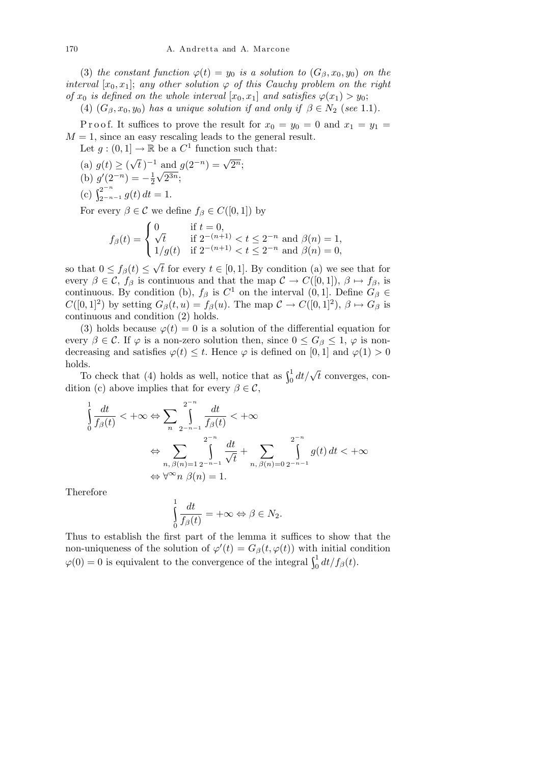(3) *the constant function*  $\varphi(t) = y_0$  *is a solution to*  $(G_\beta, x_0, y_0)$  *on the interval*  $[x_0, x_1]$ ; *any other solution*  $\varphi$  *of this Cauchy problem on the right of*  $x_0$  *is defined on the whole interval*  $[x_0, x_1]$  *and satisfies*  $\varphi(x_1) > y_0$ ;

(4)  $(G_\beta, x_0, y_0)$  *has a unique solution if and only if*  $\beta \in N_2$  (*see* 1.1)*.* 

P r o o f. It suffices to prove the result for  $x_0 = y_0 = 0$  and  $x_1 = y_1 =$  $M = 1$ , since an easy rescaling leads to the general result.

Let  $g: (0,1] \to \mathbb{R}$  be a  $C^1$  function such that: *√*

 $(a) g(t) \geq 0$  $\overline{t}$ )<sup>-1</sup> and  $g(2^{-n}) = \sqrt{2^n}$ ; (b)  $g'(2^{-n}) = -\frac{1}{2}$ 2 *√* 2 <sup>3</sup>*<sup>n</sup>*; (c)  $\int_{2^{-n-1}}^{2^{-n}} g(t) dt = 1.$ 

For every  $\beta \in \mathcal{C}$  we define  $f_{\beta} \in C([0,1])$  by  $\overline{\phantom{a}}$ 

$$
f_{\beta}(t) = \begin{cases} 0 & \text{if } t = 0, \\ \sqrt{t} & \text{if } 2^{-(n+1)} < t \le 2^{-n} \text{ and } \beta(n) = 1, \\ 1/g(t) & \text{if } 2^{-(n+1)} < t \le 2^{-n} \text{ and } \beta(n) = 0, \end{cases}
$$

so that  $0 \leq f_{\beta}(t) \leq$  $\overline{t}$  for every  $t \in [0, 1]$ . By condition (a) we see that for every  $\beta \in \mathcal{C}$ ,  $f_{\beta}$  is continuous and that the map  $\mathcal{C} \to C([0,1])$ ,  $\beta \mapsto f_{\beta}$ , is continuous. By condition (b),  $f_\beta$  is  $C^1$  on the interval  $(0,1]$ . Define  $G_\beta \in$  $C([0,1]^2)$  by setting  $G_\beta(t, u) = f_\beta(u)$ . The map  $C \to C([0,1]^2)$ ,  $\beta \mapsto G_\beta$  is continuous and condition (2) holds.

(3) holds because  $\varphi(t) = 0$  is a solution of the differential equation for every  $\beta \in \mathcal{C}$ . If  $\varphi$  is a non-zero solution then, since  $0 \leq G_{\beta} \leq 1$ ,  $\varphi$  is nondecreasing and satisfies  $\varphi(t) \leq t$ . Hence  $\varphi$  is defined on [0, 1] and  $\varphi(1) > 0$ holds.

To check that (4) holds as well, notice that as  $\int_0^1 dt/\sqrt{t}$  converges, condition (c) above implies that for every  $\beta \in \mathcal{C}$ ,

$$
\int_{0}^{1} \frac{dt}{f_{\beta}(t)} < +\infty \Leftrightarrow \sum_{n} \int_{2^{-n-1}}^{2^{-n}} \frac{dt}{f_{\beta}(t)} < +\infty
$$
\n
$$
\Leftrightarrow \sum_{n, \beta(n)=1} \int_{2^{-n-1}}^{2^{-n}} \frac{dt}{\sqrt{t}} + \sum_{n, \beta(n)=0} \int_{2^{-n-1}}^{2^{-n}} g(t) dt < +\infty
$$
\n
$$
\Leftrightarrow \forall^{\infty} n \ \beta(n) = 1.
$$

Therefore

$$
\int_{0}^{1} \frac{dt}{f_{\beta}(t)} = +\infty \Leftrightarrow \beta \in N_2.
$$

Thus to establish the first part of the lemma it suffices to show that the non-uniqueness of the solution of  $\varphi'(t) = G_{\beta}(t, \varphi(t))$  with initial condition  $\varphi(0) = 0$  is equivalent to the convergence of the integral  $\int_0^1 dt/f_\beta(t)$ .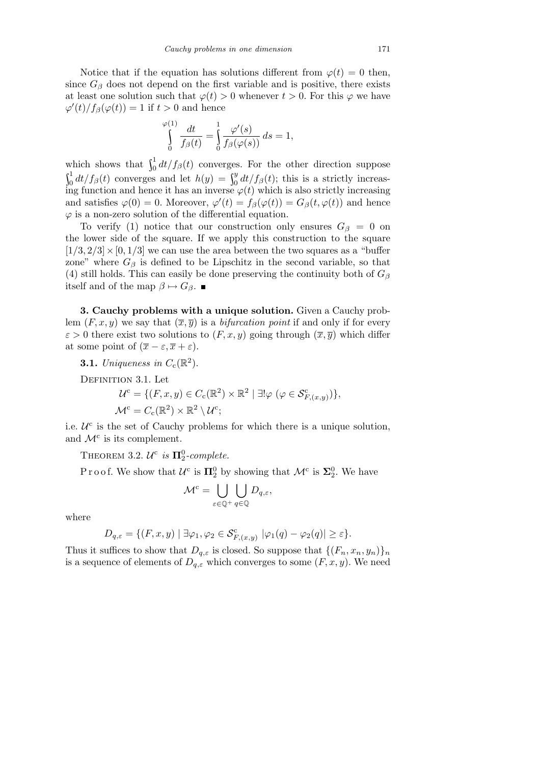Notice that if the equation has solutions different from  $\varphi(t) = 0$  then, since  $G_\beta$  does not depend on the first variable and is positive, there exists at least one solution such that  $\varphi(t) > 0$  whenever  $t > 0$ . For this  $\varphi$  we have  $\varphi'(t)/f_{\beta}(\varphi(t)) = 1$  if  $t > 0$  and hence

$$
\bigcap_{0}^{\varphi(1)}\frac{dt}{f_{\beta}(t)}=\int\limits_{0}^{1}\frac{\varphi'(s)}{f_{\beta}(\varphi(s))}\,ds=1,
$$

which shows that  $\int_0^1 dt/f_\beta(t)$  converges. For the other direction suppose  $\int_0^1 dt/f_\beta(t)$  converges and let  $h(y) = \int_0^y dt/f_\beta(t)$ ; this is a strictly increasing function and hence it has an inverse  $\varphi(t)$  which is also strictly increasing and satisfies  $\varphi(0) = 0$ . Moreover,  $\varphi'(t) = f_\beta(\varphi(t)) = G_\beta(t, \varphi(t))$  and hence *ϕ* is a non-zero solution of the differential equation.

To verify (1) notice that our construction only ensures  $G_\beta = 0$  on the lower side of the square. If we apply this construction to the square  $[1/3, 2/3] \times [0, 1/3]$  we can use the area between the two squares as a "buffer" zone" where  $G_\beta$  is defined to be Lipschitz in the second variable, so that (4) still holds. This can easily be done preserving the continuity both of  $G_\beta$ itself and of the map  $\beta \mapsto G_{\beta}$ . ■

**3. Cauchy problems with a unique solution.** Given a Cauchy problem  $(F, x, y)$  we say that  $(\overline{x}, \overline{y})$  is a *bifurcation point* if and only if for every  $\varepsilon > 0$  there exist two solutions to  $(F, x, y)$  going through  $(\overline{x}, \overline{y})$  which differ at some point of  $(\overline{x} - \varepsilon, \overline{x} + \varepsilon)$ .

**3.1.** *Uniqueness in*  $C_c(\mathbb{R}^2)$ .

DEFINITION 3.1. Let

$$
\mathcal{U}^{\mathsf{c}} = \{ (F, x, y) \in C_{\mathsf{c}}(\mathbb{R}^2) \times \mathbb{R}^2 \mid \exists! \varphi \ (\varphi \in \mathcal{S}_{F,(x,y)}^{\mathsf{c}}) \},
$$
  

$$
\mathcal{M}^{\mathsf{c}} = C_{\mathsf{c}}(\mathbb{R}^2) \times \mathbb{R}^2 \setminus \mathcal{U}^{\mathsf{c}};
$$

i.e.  $U^c$  is the set of Cauchy problems for which there is a unique solution, and  $\mathcal{M}^c$  is its complement.

THEOREM 3.2.  $U^c$  is  $\Pi_2^0$ -complete.

Proof. We show that  $\mathcal{U}^c$  is  $\Pi_2^0$  by showing that  $\mathcal{M}^c$  is  $\Sigma_2^0$ . We have

$$
\mathcal{M}^c = \bigcup_{\varepsilon \in \mathbb{Q}^+} \bigcup_{q \in \mathbb{Q}} D_{q,\varepsilon},
$$

where

$$
D_{q,\varepsilon} = \{ (F, x, y) \mid \exists \varphi_1, \varphi_2 \in \mathcal{S}_{F,(x,y)}^c \; |\varphi_1(q) - \varphi_2(q)| \ge \varepsilon \}.
$$

Thus it suffices to show that  $D_{q,\varepsilon}$  is closed. So suppose that  $\{(F_n, x_n, y_n)\}_n$ is a sequence of elements of  $D_{q,\varepsilon}$  which converges to some  $(F, x, y)$ . We need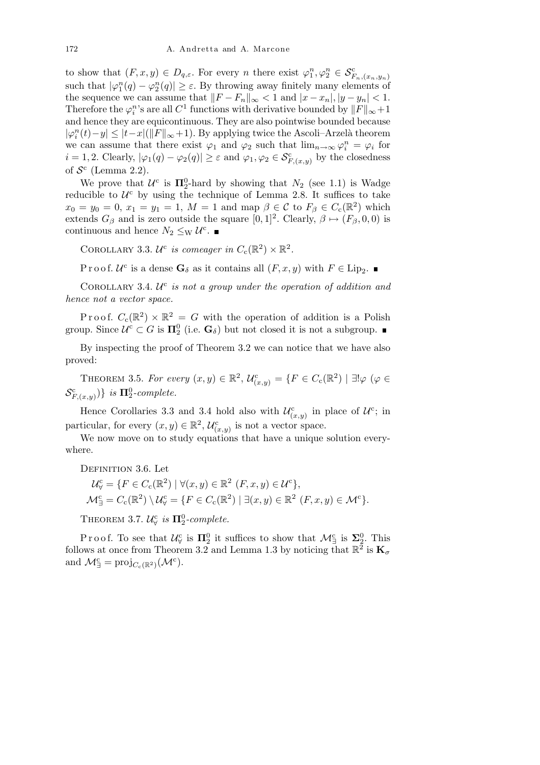to show that  $(F, x, y) \in D_{q,\varepsilon}$ . For every *n* there exist  $\varphi_1^n, \varphi_2^n \in \mathcal{S}_{F_n, (x_n, y_n)}^c$ such that  $|\varphi_1^n(q) - \varphi_2^n(q)| \geq \varepsilon$ . By throwing away finitely many elements of the sequence we can assume that  $||F - F_n||_{\infty} < 1$  and  $|x - x_n|, |y - y_n| < 1$ . Therefore the  $\varphi_i^n$ 's are all  $C^1$  functions with derivative bounded by  $||F||_{\infty} + 1$ and hence they are equicontinuous. They are also pointwise bounded because *|* $\varphi_i^n(t) - y$  | ≤ |*t*−*x*|(||*F*||∞+1). By applying twice the Ascoli–Arzelà theorem we can assume that there exist  $\varphi_1$  and  $\varphi_2$  such that  $\lim_{n\to\infty}\varphi_i^n = \varphi_i$  for  $i = 1, 2$ . Clearly,  $|\varphi_1(q) - \varphi_2(q)| \geq \varepsilon$  and  $\varphi_1, \varphi_2 \in \mathcal{S}_{F,(x,y)}^c$  by the closedness of  $S^c$  (Lemma 2.2).

We prove that  $U^c$  is  $\Pi_2^0$ -hard by showing that  $N_2$  (see 1.1) is Wadge reducible to  $U^c$  by using the technique of Lemma 2.8. It suffices to take  $x_0 = y_0 = 0, x_1 = y_1 = 1, M = 1$  and map  $\beta \in \mathcal{C}$  to  $F_\beta \in C_c(\mathbb{R}^2)$  which extends  $G_{\beta}$  and is zero outside the square  $[0,1]^2$ . Clearly,  $\beta \mapsto (F_{\beta}, 0, 0)$  is continuous and hence  $N_2 \leq_{\rm W} \mathcal{U}^{\rm c}$ .

COROLLARY 3.3.  $\mathcal{U}^c$  *is comeager in*  $C_c(\mathbb{R}^2) \times \mathbb{R}^2$ .

Proof.  $\mathcal{U}^c$  is a dense  $\mathbf{G}_{\delta}$  as it contains all  $(F, x, y)$  with  $F \in \text{Lip}_2$ .

COROLLARY 3.4.  $U^c$  is not a group under the operation of addition and *hence not a vector space.*

Proof.  $C_c(\mathbb{R}^2) \times \mathbb{R}^2 = G$  with the operation of addition is a Polish group. Since  $\mathcal{U}^c \subset G$  is  $\Pi_2^0$  (i.e.  $\mathbf{G}_\delta$ ) but not closed it is not a subgroup.

By inspecting the proof of Theorem 3.2 we can notice that we have also proved:

THEOREM 3.5. For every  $(x, y) \in \mathbb{R}^2$ ,  $\mathcal{U}^c_{(x,y)} = \{F \in C_c(\mathbb{R}^2) \mid \exists ! \varphi \ (\varphi \in$  $S_{F,(x,y)}^c$ ) *is*  $\Pi_2^0$ -*complete.* 

Hence Corollaries 3.3 and 3.4 hold also with  $\mathcal{U}^c_{(x,y)}$  in place of  $\mathcal{U}^c$ ; in particular, for every  $(x, y) \in \mathbb{R}^2$ ,  $\mathcal{U}_{(x, y)}^{\mathsf{c}}$  is not a vector space.

We now move on to study equations that have a unique solution everywhere.

DEFINITION 3.6. Let

$$
\mathcal{U}_{\forall}^{\mathsf{c}} = \{ F \in C_{\mathsf{c}}(\mathbb{R}^2) \mid \forall (x, y) \in \mathbb{R}^2 \ (F, x, y) \in \mathcal{U}^{\mathsf{c}} \},
$$
  

$$
\mathcal{M}_{\exists}^{\mathsf{c}} = C_{\mathsf{c}}(\mathbb{R}^2) \setminus \mathcal{U}_{\forall}^{\mathsf{c}} = \{ F \in C_{\mathsf{c}}(\mathbb{R}^2) \mid \exists (x, y) \in \mathbb{R}^2 \ (F, x, y) \in \mathcal{M}^{\mathsf{c}} \}.
$$

THEOREM 3.7.  $\mathcal{U}_{\forall}^c$  is  $\Pi_2^0$ -complete.

Proof. To see that  $\mathcal{U}^c_\forall$  is  $\Pi^0_2$  it suffices to show that  $\mathcal{M}^c_\exists$  is  $\Sigma^0_2$ . This follows at once from Theorem 3.2 and Lemma 1.3 by noticing that  $\mathbb{R}^2$  is  $\mathbf{K}_{\sigma}$ and  $\mathcal{M}_{\exists}^{\mathsf{c}} = \text{proj}_{C_{\mathsf{c}}(\mathbb{R}^2)}(\mathcal{M}^{\mathsf{c}}).$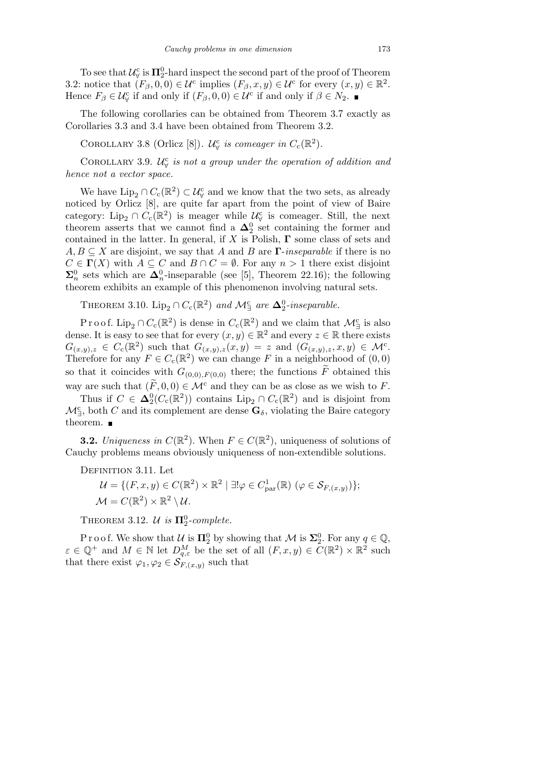To see that  $\mathcal{U}_{\forall}^c$  is  $\Pi_2^0$ -hard inspect the second part of the proof of Theorem 3.2: notice that  $(F_\beta, 0, 0) \in \mathcal{U}^c$  implies  $(F_\beta, x, y) \in \mathcal{U}^c$  for every  $(x, y) \in \mathbb{R}^2$ . Hence  $F_\beta \in \mathcal{U}^c_\forall$  if and only if  $(F_\beta, 0, 0) \in \mathcal{U}^c$  if and only if  $\beta \in \mathbb{N}_2$ .

The following corollaries can be obtained from Theorem 3.7 exactly as Corollaries 3.3 and 3.4 have been obtained from Theorem 3.2.

COROLLARY 3.8 (Orlicz [8]).  $\mathcal{U}_{\forall}^c$  is comeager in  $C_c(\mathbb{R}^2)$ .

COROLLARY 3.9.  $\mathcal{U}_{\forall}^c$  is not a group under the operation of addition and *hence not a vector space.*

We have  $\text{Lip}_2 \cap C_c(\mathbb{R}^2) \subset \mathcal{U}^c_\forall$  and we know that the two sets, as already noticed by Orlicz [8], are quite far apart from the point of view of Baire category: Lip<sub>2</sub> ∩  $C_c(\mathbb{R}^2)$  is meager while  $\mathcal{U}^c_\forall$  is comeager. Still, the next theorem asserts that we cannot find a  $\Delta_2^0$  set containing the former and contained in the latter. In general, if *X* is Polish, **Γ** some class of sets and  $A, B \subseteq X$  are disjoint, we say that *A* and *B* are **Γ**-*inseparable* if there is no  $C \in \Gamma(X)$  with  $A \subseteq C$  and  $B \cap C = \emptyset$ . For any  $n > 1$  there exist disjoint  $\Sigma_n^0$  sets which are  $\Delta_n^0$ -inseparable (see [5], Theorem 22.16); the following theorem exhibits an example of this phenomenon involving natural sets.

THEOREM 3.10. Lip<sub>2</sub>  $\cap C_c(\mathbb{R}^2)$  and  $\mathcal{M}_{\exists}^c$  are  $\Delta_2^0$ -inseparable.

Proof. Lip<sub>2</sub> ∩  $C_c(\mathbb{R}^2)$  is dense in  $C_c(\mathbb{R}^2)$  and we claim that  $\mathcal{M}_{\exists}^c$  is also dense. It is easy to see that for every  $(x, y) \in \mathbb{R}^2$  and every  $z \in \mathbb{R}$  there exists  $G_{(x,y),z} \in C_c(\mathbb{R}^2)$  such that  $G_{(x,y),z}(x,y) = z$  and  $(G_{(x,y),z},x,y) \in \mathcal{M}^c$ . Therefore for any  $F \in C_c(\mathbb{R}^2)$  we can change *F* in a neighborhood of  $(0,0)$ so that it coincides with  $G_{(0,0),F(0,0)}$  there; the functions  $\widetilde{F}$  obtained this way are such that  $(\widetilde{F}, 0, 0) \in \mathcal{M}^c$  and they can be as close as we wish to *F*.

Thus if  $C \in \Delta_2^0(C_c(\mathbb{R}^2))$  contains  $\text{Lip}_2 \cap C_c(\mathbb{R}^2)$  and is disjoint from  $\mathcal{M}_{\exists}^{\mathsf{c}}$ , both *C* and its complement are dense  $\mathbf{G}_{\delta}$ , violating the Baire category theorem.  $\blacksquare$ 

**3.2.** *Uniqueness in*  $C(\mathbb{R}^2)$ . When  $F \in C(\mathbb{R}^2)$ , uniqueness of solutions of Cauchy problems means obviously uniqueness of non-extendible solutions.

DEFINITION 3.11. Let

 $\mathcal{U} = \{ (F, x, y) \in C(\mathbb{R}^2) \times \mathbb{R}^2 \mid \exists ! \varphi \in C^1_{\text{par}}(\mathbb{R}) \ (\varphi \in \mathcal{S}_{F,(x,y)}) \};$  $\mathcal{M} = C(\mathbb{R}^2) \times \mathbb{R}^2 \setminus \mathcal{U}.$ 

THEOREM 3.12.  $\mathcal{U}$  *is*  $\Pi_2^0$ -complete.

P r o o f. We show that  $U$  is  $\Pi_2^0$  by showing that  $\mathcal M$  is  $\Sigma_2^0$ . For any  $q \in \mathbb Q$ ,  $\varepsilon \in \mathbb{Q}^+$  and  $M \in \mathbb{N}$  let  $D_{q,\varepsilon}^M$  be the set of all  $(F, x, y) \in C(\mathbb{R}^2) \times \mathbb{R}^2$  such that there exist  $\varphi_1, \varphi_2 \in \mathcal{S}_{F,(x,y)}$  such that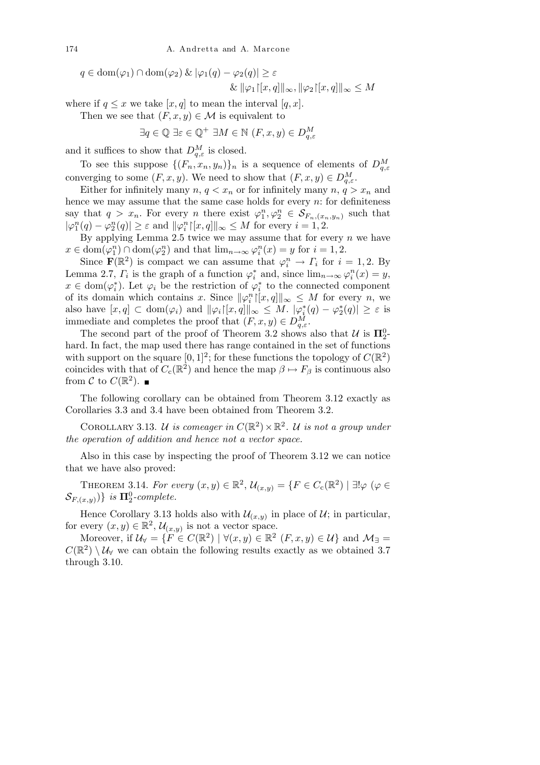$$
q \in \text{dom}(\varphi_1) \cap \text{dom}(\varphi_2) \& |\varphi_1(q) - \varphi_2(q)| \ge \varepsilon
$$
  

$$
\& |\varphi_1| \le |x, q| \le \sqrt{\varepsilon} \quad \text{and} \quad \text{for all } |\varphi_2| \le M
$$

where if  $q \leq x$  we take  $[x, q]$  to mean the interval  $[q, x]$ .

Then we see that  $(F, x, y) \in \mathcal{M}$  is equivalent to

$$
\exists q \in \mathbb{Q} \exists \varepsilon \in \mathbb{Q}^+ \; \exists M \in \mathbb{N} \; (F, x, y) \in D_{q, \varepsilon}^M
$$

and it suffices to show that  $D_{q,\varepsilon}^M$  is closed.

To see this suppose  $\{(F_n, x_n, y_n)\}_n$  is a sequence of elements of  $D_{q,\varepsilon}^M$ converging to some  $(F, x, y)$ . We need to show that  $(F, x, y) \in D_{q,\varepsilon}^M$ .

Either for infinitely many  $n, q < x_n$  or for infinitely many  $n, q > x_n$  and hence we may assume that the same case holds for every *n*: for definiteness say that  $q > x_n$ . For every *n* there exist  $\varphi_1^n, \varphi_2^n \in \mathcal{S}_{F_n,(x_n,y_n)}$  such that  $|\varphi_1^n(q) - \varphi_2^n(q)| \ge \varepsilon$  and  $||\varphi_i^n|[x,q]||_{\infty} \le M$  for every  $i = 1, 2$ .

By applying Lemma 2.5 twice we may assume that for every *n* we have  $x \in \text{dom}(\varphi_1^n) \cap \text{dom}(\varphi_2^n)$  and that  $\lim_{n \to \infty} \varphi_i^n(x) = y$  for  $i = 1, 2$ .

Since  $\mathbf{F}(\mathbb{R}^2)$  is compact we can assume that  $\varphi_i^n \to \Gamma_i$  for  $i = 1, 2$ . By Lemma 2.7,  $\Gamma_i$  is the graph of a function  $\varphi_i^*$  and, since  $\lim_{n\to\infty}\varphi_i^n(x)=y$ ,  $x \in \text{dom}(\varphi_i^*)$ . Let  $\varphi_i$  be the restriction of  $\varphi_i^*$  to the connected component of its domain which contains *x*. Since  $\|\varphi_i^n\|[x,q]\|_{\infty} \leq M$  for every *n*, we also have  $[x,q] \subset \text{dom}(\varphi_i)$  and  $\|\varphi_i\|[x,q]\|_{\infty} \leq M$ .  $|\varphi_i^*(q) - \varphi_2^*(q)| \geq \varepsilon$  is immediate and completes the proof that  $(F, x, y) \in D_{q,\varepsilon}^M$ .

The second part of the proof of Theorem 3.2 shows also that  $\mathcal{U}$  is  $\Pi_2^0$ hard. In fact, the map used there has range contained in the set of functions with support on the square  $[0,1]^2$ ; for these functions the topology of  $C(\mathbb{R}^2)$ coincides with that of  $C_c(\mathbb{R}^2)$  and hence the map  $\beta \mapsto F_\beta$  is continuous also from  $C$  to  $C(\mathbb{R}^2)$ .

The following corollary can be obtained from Theorem 3.12 exactly as Corollaries 3.3 and 3.4 have been obtained from Theorem 3.2.

COROLLARY 3.13. *U is comeager in*  $C(\mathbb{R}^2) \times \mathbb{R}^2$ . *U is not a group under the operation of addition and hence not a vector space.*

Also in this case by inspecting the proof of Theorem 3.12 we can notice that we have also proved:

THEOREM 3.14. *For every*  $(x, y) \in \mathbb{R}^2$ ,  $\mathcal{U}_{(x,y)} = \{F \in C_c(\mathbb{R}^2) \mid \exists! \varphi \ (\varphi \in$  $\mathcal{S}_{F,(x,y)}$ ) *is*  $\Pi_2^0$ -*complete.* 

Hence Corollary 3.13 holds also with  $\mathcal{U}_{(x,y)}$  in place of  $\mathcal{U}$ ; in particular, for every  $(x, y) \in \mathbb{R}^2$ ,  $\mathcal{U}_{(x, y)}$  is not a vector space.

Moreover, if  $\mathcal{U}_{\forall} = \{F \in C(\mathbb{R}^2) \mid \forall (x, y) \in \mathbb{R}^2 \ (F, x, y) \in \mathcal{U}\}\$ and  $\mathcal{M}_{\exists} =$  $C(\mathbb{R}^2) \setminus \mathcal{U}_{\forall}$  we can obtain the following results exactly as we obtained 3.7 through 3.10.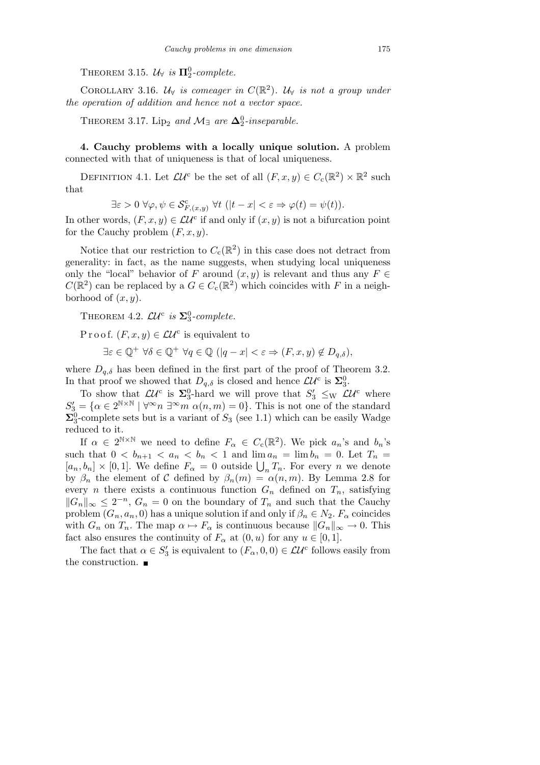THEOREM 3.15.  $\mathcal{U}_{\forall}$  *is*  $\Pi_2^0$ -complete.

COROLLARY 3.16.  $\mathcal{U}_{\forall}$  *is comeager in*  $C(\mathbb{R}^2)$ .  $\mathcal{U}_{\forall}$  *is not a group under the operation of addition and hence not a vector space.*

THEOREM 3.17. Lip<sub>2</sub> and  $\mathcal{M}_{\exists}$  are  $\Delta_2^0$ -inseparable.

**4. Cauchy problems with a locally unique solution.** A problem connected with that of uniqueness is that of local uniqueness.

DEFINITION 4.1. Let  $\mathcal{L}U^c$  be the set of all  $(F, x, y) \in C_c(\mathbb{R}^2) \times \mathbb{R}^2$  such that

 $\exists \varepsilon > 0 \ \forall \varphi, \psi \in \mathcal{S}_{F,(x,y)}^c \ \forall t \ (|t-x| < \varepsilon \Rightarrow \varphi(t) = \psi(t)).$ 

In other words,  $(F, x, y) \in \mathcal{L}U^c$  if and only if  $(x, y)$  is not a bifurcation point for the Cauchy problem (*F, x, y*).

Notice that our restriction to  $C_c(\mathbb{R}^2)$  in this case does not detract from generality: in fact, as the name suggests, when studying local uniqueness only the "local" behavior of *F* around  $(x, y)$  is relevant and thus any  $F \in$  $C(\mathbb{R}^2)$  can be replaced by a  $G \in C_c(\mathbb{R}^2)$  which coincides with *F* in a neighborhood of  $(x, y)$ .

THEOREM 4.2.  $\mathcal{L}U^c$  is  $\Sigma_3^0$ -complete.

P r o o f.  $(F, x, y) \in \mathcal{L} \mathcal{U}^c$  is equivalent to

$$
\exists \varepsilon \in \mathbb{Q}^+ \,\,\forall \delta \in \mathbb{Q}^+ \,\,\forall q \in \mathbb{Q} \,\,(|q - x| < \varepsilon \Rightarrow (F, x, y) \notin D_{q, \delta}),
$$

where  $D_{q,\delta}$  has been defined in the first part of the proof of Theorem 3.2. In that proof we showed that  $D_{q,\delta}$  is closed and hence  $\mathcal{L}U^c$  is  $\Sigma_3^0$ .

To show that  $\mathcal{L}U^c$  is  $\Sigma_3^0$ -hard we will prove that  $S'_3 \leq_W \mathcal{L}U^c$  where  $S_3' = \{ \alpha \in 2^{N \times N} \mid \forall^{\infty} n \exists^{\infty} m \alpha(n,m) = 0 \}.$  This is not one of the standard  $\Sigma_3^0$ -complete sets but is a variant of  $S_3$  (see 1.1) which can be easily Wadge reduced to it.

If  $\alpha \in 2^{\mathbb{N} \times \mathbb{N}}$  we need to define  $F_{\alpha} \in C_{c}(\mathbb{R}^{2})$ . We pick  $a_{n}$ 's and  $b_{n}$ 's such that  $0 < b_{n+1} < a_n < b_n < 1$  and  $\lim a_n = \lim b_n = 0$ . Let  $T_n =$  $[a_n, b_n] \times [0, 1]$ . We define  $F_\alpha = 0$  outside  $\bigcup_n T_n$ . For every *n* we denote by  $\beta_n$  the element of *C* defined by  $\beta_n(m) = \alpha(n,m)$ . By Lemma 2.8 for every *n* there exists a continuous function  $G_n$  defined on  $T_n$ , satisfying  $||G_n||_{\infty} \leq 2^{-n}$ ,  $G_n = 0$  on the boundary of  $T_n$  and such that the Cauchy problem  $(G_n, a_n, 0)$  has a unique solution if and only if  $\beta_n \in N_2$ .  $F_\alpha$  coincides with  $G_n$  on  $T_n$ . The map  $\alpha \mapsto F_\alpha$  is continuous because  $||G_n||_{\infty} \to 0$ . This fact also ensures the continuity of  $F_\alpha$  at  $(0, u)$  for any  $u \in [0, 1]$ .

The fact that  $\alpha \in S'_3$  is equivalent to  $(F_\alpha, 0, 0) \in \mathcal{LU}^c$  follows easily from the construction.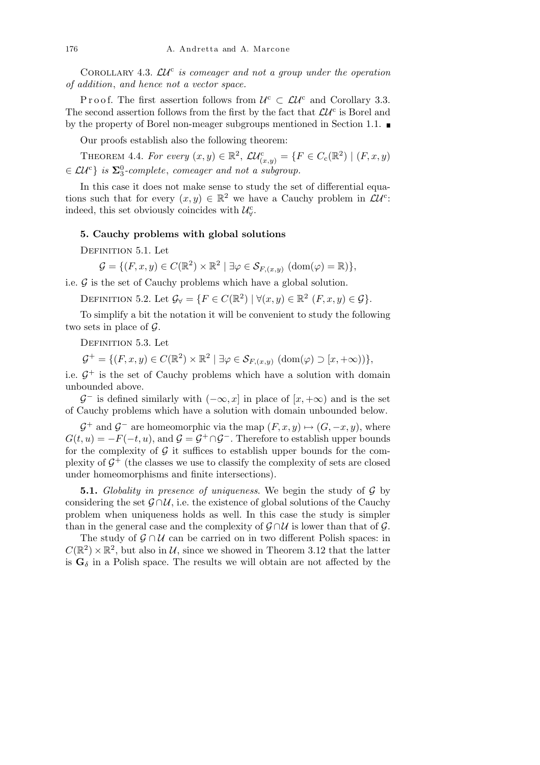COROLLARY 4.3.  $LU^c$  is comeager and not a group under the operation *of addition*, *and hence not a vector space.*

P r o o f. The first assertion follows from  $U^c \subset \mathcal{L}U^c$  and Corollary 3.3. The second assertion follows from the first by the fact that  $\mathcal{L}U^c$  is Borel and by the property of Borel non-meager subgroups mentioned in Section 1.1.

Our proofs establish also the following theorem:

THEOREM 4.4. *For every*  $(x, y) \in \mathbb{R}^2$ ,  $\mathcal{LU}_{(x, y)}^c = \{F \in C_c(\mathbb{R}^2) \mid (F, x, y) \}$ *∈ LU*<sup>c</sup> *} is* **Σ**<sup>0</sup> 3 *-complete*, *comeager and not a subgroup.*

In this case it does not make sense to study the set of differential equations such that for every  $(x, y) \in \mathbb{R}^2$  we have a Cauchy problem in  $\mathcal{L}U^c$ : indeed, this set obviously coincides with  $\mathcal{U}_{\forall}^{\mathsf{c}}$ .

## **5. Cauchy problems with global solutions**

DEFINITION 5.1. Let

$$
\mathcal{G} = \{ (F, x, y) \in C(\mathbb{R}^2) \times \mathbb{R}^2 \mid \exists \varphi \in \mathcal{S}_{F,(x,y)} \; (\text{dom}(\varphi) = \mathbb{R}) \},
$$

i.e.  $\mathcal G$  is the set of Cauchy problems which have a global solution.

DEFINITION 5.2. Let  $\mathcal{G}_{\forall} = \{F \in C(\mathbb{R}^2) \mid \forall (x, y) \in \mathbb{R}^2 \ (F, x, y) \in \mathcal{G}\}.$ 

To simplify a bit the notation it will be convenient to study the following two sets in place of *G*.

DEFINITION 5.3. Let

 $\mathcal{G}^+ = \{ (F, x, y) \in C(\mathbb{R}^2) \times \mathbb{R}^2 \mid \exists \varphi \in \mathcal{S}_{F,(x,y)} \ (\text{dom}(\varphi) \supset [x, +\infty)) \},$ 

i.e.  $G^+$  is the set of Cauchy problems which have a solution with domain unbounded above.

 $\mathcal{G}^-$  is defined similarly with  $(-\infty, x]$  in place of  $[x, +\infty)$  and is the set of Cauchy problems which have a solution with domain unbounded below.

 $\mathcal{G}^+$  and  $\mathcal{G}^-$  are homeomorphic via the map  $(F, x, y) \mapsto (G, -x, y)$ , where  $G(t, u) = -F(-t, u)$ , and  $\mathcal{G} = \mathcal{G}^+ \cap \mathcal{G}^-$ . Therefore to establish upper bounds for the complexity of  $\mathcal G$  it suffices to establish upper bounds for the complexity of  $\mathcal{G}^+$  (the classes we use to classify the complexity of sets are closed under homeomorphisms and finite intersections).

**5.1.** *Globality in presence of uniqueness*. We begin the study of *G* by considering the set  $\mathcal{G} \cap \mathcal{U}$ , i.e. the existence of global solutions of the Cauchy problem when uniqueness holds as well. In this case the study is simpler than in the general case and the complexity of  $\mathcal{G} \cap \mathcal{U}$  is lower than that of  $\mathcal{G}$ .

The study of  $\mathcal{G} \cap \mathcal{U}$  can be carried on in two different Polish spaces: in  $C(\mathbb{R}^2) \times \mathbb{R}^2$ , but also in *U*, since we showed in Theorem 3.12 that the latter is  $G_\delta$  in a Polish space. The results we will obtain are not affected by the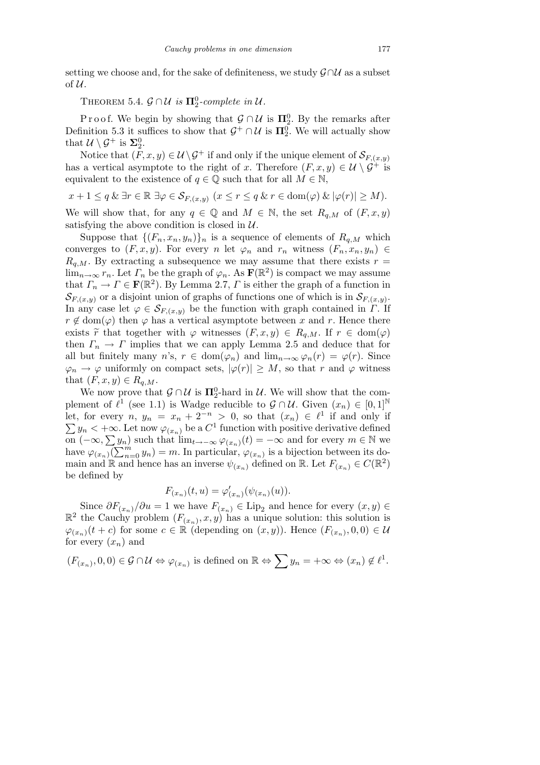setting we choose and, for the sake of definiteness, we study *G∩U* as a subset of *U*.

THEOREM 5.4.  $\mathcal{G} \cap \mathcal{U}$  *is*  $\Pi_2^0$ -complete in  $\mathcal{U}$ .

P r o o f. We begin by showing that  $\mathcal{G} \cap \mathcal{U}$  is  $\Pi_2^0$ . By the remarks after Definition 5.3 it suffices to show that  $\mathcal{G}^+ \cap \mathcal{U}$  is  $\Pi_2^0$ . We will actually show that  $\mathcal{U} \setminus \mathcal{G}^+$  is  $\Sigma_2^0$ .

Notice that  $(F, x, y) \in \mathcal{U} \backslash \mathcal{G}^+$  if and only if the unique element of  $\mathcal{S}_{F,(x,y)}$ has a vertical asymptote to the right of *x*. Therefore  $(F, x, y) \in \mathcal{U} \setminus \mathcal{G}^+$  is equivalent to the existence of  $q \in \mathbb{Q}$  such that for all  $M \in \mathbb{N}$ ,

$$
x + 1 \le q \& \exists r \in \mathbb{R} \exists \varphi \in \mathcal{S}_{F,(x,y)} \ (x \le r \le q \& r \in \text{dom}(\varphi) \& |\varphi(r)| \ge M).
$$

We will show that, for any  $q \in \mathbb{Q}$  and  $M \in \mathbb{N}$ , the set  $R_{q,M}$  of  $(F, x, y)$ satisfying the above condition is closed in *U*.

Suppose that  $\{(F_n, x_n, y_n)\}_n$  is a sequence of elements of  $R_{q,M}$  which converges to  $(F, x, y)$ . For every *n* let  $\varphi_n$  and  $r_n$  witness  $(F_n, x_n, y_n) \in$  $R_{q,M}$ . By extracting a subsequence we may assume that there exists  $r =$  $\lim_{n\to\infty} r_n$ . Let  $\Gamma_n$  be the graph of  $\varphi_n$ . As  $\mathbf{F}(\mathbb{R}^2)$  is compact we may assume that  $\Gamma_n \to \Gamma \in \mathbf{F}(\mathbb{R}^2)$ . By Lemma 2.7,  $\Gamma$  is either the graph of a function in  $\mathcal{S}_{F,(x,y)}$  or a disjoint union of graphs of functions one of which is in  $\mathcal{S}_{F,(x,y)}$ . In any case let  $\varphi \in \mathcal{S}_{F,(x,y)}$  be the function with graph contained in *Γ*. If  $r \notin \text{dom}(\varphi)$  then  $\varphi$  has a vertical asymptote between *x* and *r*. Hence there exists  $\widetilde{r}$  that together with  $\varphi$  witnesses  $(F, x, y) \in R_{q,M}$ . If  $r \in \text{dom}(\varphi)$ then  $\Gamma_n \to \Gamma$  implies that we can apply Lemma 2.5 and deduce that for all but finitely many *n*'s,  $r \in \text{dom}(\varphi_n)$  and  $\lim_{n\to\infty} \varphi_n(r) = \varphi(r)$ . Since  $\varphi_n \to \varphi$  uniformly on compact sets,  $|\varphi(r)| \geq M$ , so that *r* and  $\varphi$  witness that  $(F, x, y) \in R_{q,M}$ .

We now prove that  $\mathcal{G} \cap \mathcal{U}$  is  $\Pi_2^0$ -hard in  $\mathcal{U}$ . We will show that the complement of  $\ell^1$  (see 1.1) is Wadge reducible to  $\mathcal{G} \cap \mathcal{U}$ . Given  $(x_n) \in [0,1]^{\mathbb{N}}$ let, for every  $n, y_n = x_n + 2^{-n} > 0$ , so that  $(x_n) \in \ell^1$  if and only if er<br>Ier  $y_n < +\infty$ . Let now  $\varphi_{(x_n)}$  be a  $C^1$  function with positive derivative defined  $\sum y_n < +\infty$ . Let now  $\varphi_{(x_n)}$  be a C  $\cdot$  function with positive derivative defined<br>on  $(-\infty, \sum y_n)$  such that  $\lim_{t\to-\infty} \varphi_{(x_n)}(t) = -\infty$  and for every  $m \in \mathbb{N}$  we<br>have  $\alpha$ .  $(\sum^m y_n)$  and  $\sum^m y_n$  is a hijection ha have  $\varphi_{(x_n)}(\sum_{n=0}^m y_n) = m$ . In particular,  $\varphi_{(x_n)}$  is a bijection between its domain and R and hence has an inverse  $\psi_{(x_n)}$  defined on R. Let  $F_{(x_n)} \in C(\mathbb{R}^2)$ be defined by

$$
F_{(x_n)}(t, u) = \varphi'_{(x_n)}(\psi_{(x_n)}(u)).
$$

Since  $\partial F_{(x_n)}/\partial u = 1$  we have  $F_{(x_n)} \in \text{Lip}_2$  and hence for every  $(x, y) \in$  $\mathbb{R}^2$  the Cauchy problem  $(F_{(x_n)}, x, y)$  has a unique solution: this solution is  $\varphi$ (*x<sub>n</sub>*)</sub>(*t* + *c*) for some *c* ∈ ℝ (depending on (*x, y*)). Hence ( $F$ (*x<sub>n</sub>*), 0, 0) ∈ *U* for every  $(x_n)$  and

 $(F_{(x_n)}, 0, 0) \in \mathcal{G} \cap \mathcal{U} \Leftrightarrow \varphi_{(x_n)}$  is defined on  $\mathbb{R} \Leftrightarrow \sum y_n = +\infty \Leftrightarrow (x_n) \notin \ell^1$ .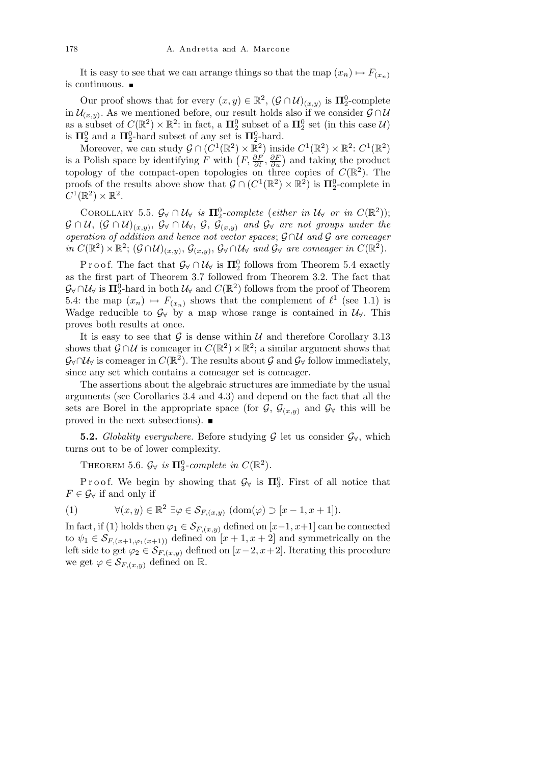It is easy to see that we can arrange things so that the map  $(x_n) \mapsto F_{(x_n)}$ is continuous.  $\blacksquare$ 

Our proof shows that for every  $(x, y) \in \mathbb{R}^2$ ,  $(\mathcal{G} \cap \mathcal{U})_{(x,y)}$  is  $\Pi_2^0$ -complete in  $\mathcal{U}_{(x,y)}$ . As we mentioned before, our result holds also if we consider  $\mathcal{G} \cap \mathcal{U}$ as a subset of  $C(\mathbb{R}^2) \times \mathbb{R}^2$ : in fact, a  $\Pi_2^0$  subset of a  $\Pi_2^0$  set (in this case  $\mathcal{U}$ ) is  $\Pi_2^0$  and a  $\Pi_2^0$ -hard subset of any set is  $\Pi_2^0$ -hard.

Moreover, we can study  $\mathcal{G} \cap (C^1(\mathbb{R}^2) \times \mathbb{R}^2)$  inside  $C^1(\mathbb{R}^2) \times \mathbb{R}^2$ :  $C^1(\mathbb{R}^2)$ moreover, we can study  $\mathcal{G} \cap (\mathbb{R}^2) \times \mathbb{R}^2$  inside  $C^2(\mathbb{R}^2) \times \mathbb{R}^2$ :  $C^2(\mathbb{R}^2)$ <br>is a Polish space by identifying *F* with  $(F, \frac{\partial F}{\partial t}, \frac{\partial F}{\partial u})$  and taking the product topology of the compact-open topologies on three copies of  $C(\mathbb{R}^2)$ . The proofs of the results above show that  $\mathcal{G} \cap (C^1(\mathbb{R}^2) \times \mathbb{R}^2)$  is  $\Pi_2^0$ -complete in  $C^1(\mathbb{R}^2)\times\mathbb{R}^2$ .

COROLLARY 5.5.  $\mathcal{G}_{\forall} \cap \mathcal{U}_{\forall}$  *is*  $\Pi_2^0$ -complete (*either in*  $\mathcal{U}_{\forall}$  *or in*  $C(\mathbb{R}^2)$ );  $G ∩ U$ ,  $(G ∩ U)_{(x,y)}$ ,  $G$ <sup>γ</sup>  $∩ U$ √,  $G$ ,  $G_{(x,y)}$  *and*  $G$ <sup> $\forall$ </sup> *are not groups under the operation of addition and hence not vector spaces*; *G ∩U and G are comeager*  $in C(\mathbb{R}^2) \times \mathbb{R}^2$ ;  $(\mathcal{G} \cap \mathcal{U})_{(x,y)}, \mathcal{G}_{(x,y)}, \mathcal{G}_{\forall} \cap \mathcal{U}_{\forall}$  and  $\mathcal{G}_{\forall}$  are comeager in  $C(\mathbb{R}^2)$ .

P r o o f. The fact that  $\mathcal{G}_{\forall} \cap \mathcal{U}_{\forall}$  is  $\Pi_2^0$  follows from Theorem 5.4 exactly as the first part of Theorem 3.7 followed from Theorem 3.2. The fact that  $\mathcal{G}_{\forall} \cap \mathcal{U}_{\forall}$  is  $\Pi_2^0$ -hard in both  $\mathcal{U}_{\forall}$  and  $C(\mathbb{R}^2)$  follows from the proof of Theorem 5.4: the map  $(x_n) \mapsto F_{(x_n)}$  shows that the complement of  $\ell^1$  (see 1.1) is Wadge reducible to  $\mathcal{G}_{\forall}$  by a map whose range is contained in  $\mathcal{U}_{\forall}$ . This proves both results at once.

It is easy to see that  $G$  is dense within  $U$  and therefore Corollary 3.13 shows that  $\mathcal{G} \cap \mathcal{U}$  is comeager in  $C(\mathbb{R}^2) \times \mathbb{R}^2$ ; a similar argument shows that  $\mathcal{G}_{\forall} \cap \mathcal{U}_{\forall}$  is comeager in  $C(\mathbb{R}^2)$ . The results about  $\mathcal{G}$  and  $\mathcal{G}_{\forall}$  follow immediately, since any set which contains a comeager set is comeager.

The assertions about the algebraic structures are immediate by the usual arguments (see Corollaries 3.4 and 4.3) and depend on the fact that all the sets are Borel in the appropriate space (for  $\mathcal{G}, \mathcal{G}_{(x,y)}$  and  $\mathcal{G}_{\forall}$  this will be proved in the next subsections).

**5.2.** *Globality everywhere*. Before studying  $G$  let us consider  $G_Y$ , which turns out to be of lower complexity.

THEOREM 5.6.  $\mathcal{G}_{\forall}$  *is*  $\Pi_3^0$ -complete in  $C(\mathbb{R}^2)$ .

Proof. We begin by showing that  $\mathcal{G}_{\forall}$  is  $\Pi_3^0$ . First of all notice that  $F \in \mathcal{G}_{\forall}$  if and only if

(1) 
$$
\forall (x, y) \in \mathbb{R}^2 \; \exists \varphi \in \mathcal{S}_{F,(x,y)} \; (\text{dom}(\varphi) \supset [x-1, x+1]).
$$

In fact, if (1) holds then  $\varphi_1 \in \mathcal{S}_{F,(x,y)}$  defined on  $[x-1,x+1]$  can be connected to  $\psi_1 \in \mathcal{S}_{F,(x+1,\varphi_1(x+1))}$  defined on  $[x+1,x+2]$  and symmetrically on the left side to get  $\varphi_2 \in \mathcal{S}_{F,(x,y)}$  defined on  $[x-2,x+2]$ . Iterating this procedure we get  $\varphi \in \mathcal{S}_{F,(x,y)}$  defined on R.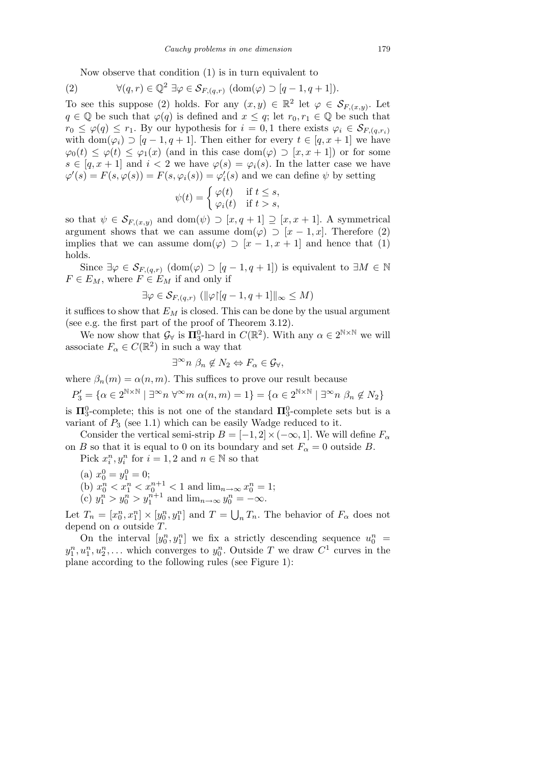Now observe that condition (1) is in turn equivalent to

(2) 
$$
\forall (q,r) \in \mathbb{Q}^2 \; \exists \varphi \in \mathcal{S}_{F,(q,r)} \; (\text{dom}(\varphi) \supset [q-1,q+1]).
$$

To see this suppose (2) holds. For any  $(x, y) \in \mathbb{R}^2$  let  $\varphi \in \mathcal{S}_{F,(x,y)}$ . Let *q* ∈ ℚ be such that  $\varphi$ (*q*) is defined and *x* ≤ *q*; let *r*<sub>0</sub>, *r*<sub>1</sub> ∈ ℚ be such that  $r_0 \leq \varphi(q) \leq r_1$ . By our hypothesis for  $i = 0, 1$  there exists  $\varphi_i \in \mathcal{S}_{F,(q,r_i)}$ with dom $(\varphi_i) \supset [q-1, q+1]$ . Then either for every  $t \in [q, x+1]$  we have  $\varphi_0(t) \leq \varphi(t) \leq \varphi_1(x)$  (and in this case dom( $\varphi$ ) *p* [x, x + 1]) or for some  $s \in [q, x + 1]$  and  $i < 2$  we have  $\varphi(s) = \varphi_i(s)$ . In the latter case we have  $\varphi'(s) = F(s, \varphi(s)) = F(s, \varphi_i(s)) = \varphi'_i(s)$  and we can define  $\psi$  by setting

$$
\psi(t) = \begin{cases} \varphi(t) & \text{if } t \le s, \\ \varphi_i(t) & \text{if } t > s, \end{cases}
$$

so that  $\psi \in \mathcal{S}_{F,(x,y)}$  and dom $(\psi) \supset [x,q+1] \supseteq [x,x+1]$ . A symmetrical argument shows that we can assume dom $(\varphi) \supset [x-1,x]$ . Therefore (2) implies that we can assume dom( $\varphi$ )  $\supset$  [ $x$  – 1,  $x$  + 1] and hence that (1) holds.

Since  $\exists \varphi \in \mathcal{S}_{F,(q,r)}$   $(\text{dom}(\varphi) \supset [q-1, q+1])$  is equivalent to  $\exists M \in \mathbb{N}$  $F \in E_M$ , where  $F \in E_M$  if and only if

$$
\exists \varphi \in \mathcal{S}_{F,(q,r)} \left( \|\varphi\| [q-1, q+1] \|_{\infty} \le M \right)
$$

it suffices to show that  $E_M$  is closed. This can be done by the usual argument (see e.g. the first part of the proof of Theorem 3.12).

We now show that  $\mathcal{G}_{\forall}$  is  $\Pi_3^0$ -hard in  $C(\mathbb{R}^2)$ . With any  $\alpha \in 2^{\mathbb{N} \times \mathbb{N}}$  we will associate  $F_{\alpha} \in C(\mathbb{R}^2)$  in such a way that

$$
\exists^{\infty} n \; \beta_n \notin N_2 \Leftrightarrow F_{\alpha} \in \mathcal{G}_{\forall},
$$

where  $\beta_n(m) = \alpha(n, m)$ . This suffices to prove our result because

$$
P_3' = \{ \alpha \in 2^{\mathbb{N} \times \mathbb{N}} \mid \exists^{\infty} n \; \forall^{\infty} m \; \alpha(n,m) = 1 \} = \{ \alpha \in 2^{\mathbb{N} \times \mathbb{N}} \mid \exists^{\infty} n \; \beta_n \notin N_2 \}
$$

is  $\Pi_3^0$ -complete; this is not one of the standard  $\Pi_3^0$ -complete sets but is a variant of  $P_3$  (see 1.1) which can be easily Wadge reduced to it.

Consider the vertical semi-strip  $B = [-1, 2] \times (-\infty, 1]$ . We will define  $F_\alpha$ on *B* so that it is equal to 0 on its boundary and set  $F_\alpha = 0$  outside *B*.

Pick  $x_i^n, y_i^n$  for  $i = 1, 2$  and  $n \in \mathbb{N}$  so that

(a)  $x_0^0 = y_1^0 = 0;$ (b)  $x_0^n < x_1^n < x_0^{n+1} < 1$  and  $\lim_{n \to \infty} x_0^n = 1$ ; (c)  $y_1^n > y_0^n > y_1^{n+1}$  and  $\lim_{n \to \infty} y_0^n = -\infty$ .

Let  $T_n = [x_0^n, x_1^n] \times [y_0^n, y_1^n]$  and  $T =$  $\overline{\phantom{a}}$  $T_n$ <sup>*T<sub>n</sub>*. The behavior of  $F_\alpha$  does not</sup> depend on *α* outside *T*.

On the interval  $[y_0^n, y_1^n]$  we fix a strictly descending sequence  $u_0^n =$  $y_1^n, u_1^n, u_2^n, \ldots$  which converges to  $y_0^n$ . Outside *T* we draw  $C^1$  curves in the plane according to the following rules (see Figure 1):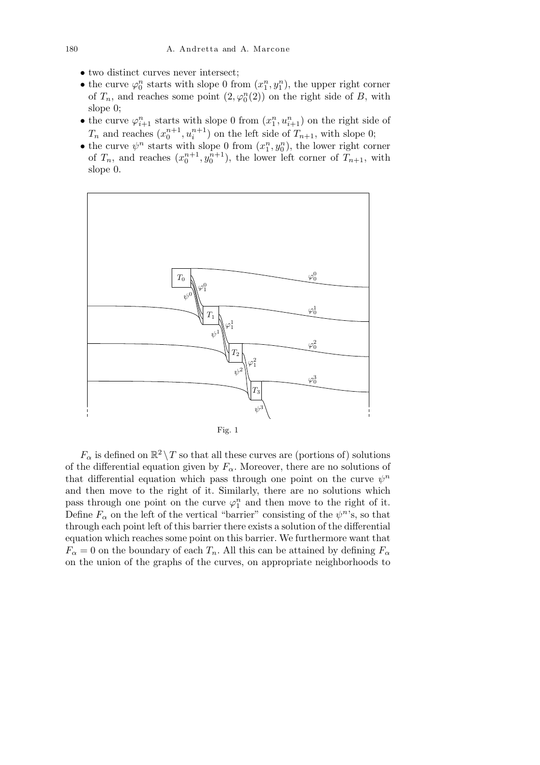- two distinct curves never intersect;
- the curve  $\varphi_0^n$  starts with slope 0 from  $(x_1^n, y_1^n)$ , the upper right corner of  $T_n$ , and reaches some point  $(2, \varphi_0^n(2))$  on the right side of *B*, with slope 0;
- the curve  $\varphi_{i+1}^n$  starts with slope 0 from  $(x_1^n, u_{i+1}^n)$  on the right side of  $T_n$  and reaches  $(x_0^{n+1}, u_i^{n+1})$  on the left side of  $T_{n+1}$ , with slope 0;
- the curve  $\psi^n$  starts with slope 0 from  $(x_1^n, y_0^n)$ , the lower right corner of  $T_n$ , and reaches  $(x_0^{n+1}, y_0^{n+1})$ , the lower left corner of  $T_{n+1}$ , with slope 0.



 $F_{\alpha}$  is defined on  $\mathbb{R}^2 \setminus T$  so that all these curves are (portions of) solutions of the differential equation given by  $F_\alpha$ . Moreover, there are no solutions of that differential equation which pass through one point on the curve  $\psi^n$ and then move to the right of it. Similarly, there are no solutions which pass through one point on the curve  $\varphi_1^n$  and then move to the right of it. Define  $F_\alpha$  on the left of the vertical "barrier" consisting of the  $\psi^n$ 's, so that through each point left of this barrier there exists a solution of the differential equation which reaches some point on this barrier. We furthermore want that  $F_{\alpha} = 0$  on the boundary of each  $T_n$ . All this can be attained by defining  $F_{\alpha}$ on the union of the graphs of the curves, on appropriate neighborhoods to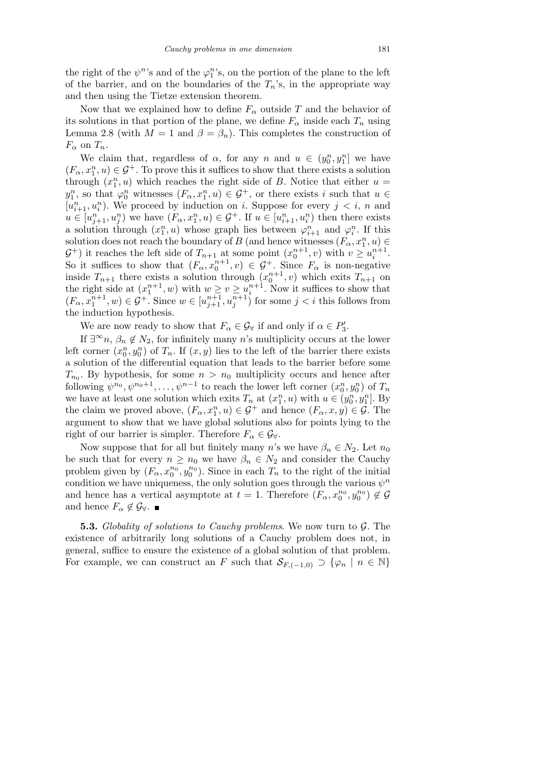the right of the  $\psi^n$ 's and of the  $\varphi_1^n$ 's, on the portion of the plane to the left of the barrier, and on the boundaries of the  $T_n$ 's, in the appropriate way and then using the Tietze extension theorem.

Now that we explained how to define  $F_\alpha$  outside  $T$  and the behavior of its solutions in that portion of the plane, we define  $F_\alpha$  inside each  $T_n$  using Lemma 2.8 (with  $M = 1$  and  $\beta = \beta_n$ ). This completes the construction of  $F_{\alpha}$  on  $T_n$ .

We claim that, regardless of  $\alpha$ , for any  $n$  and  $u \in (y_0^n, y_1^n]$  we have  $(F_{\alpha}, x_1^n, u) \in \mathcal{G}^+$ . To prove this it suffices to show that there exists a solution through  $(x_1^n, u)$  which reaches the right side of *B*. Notice that either  $u =$  $y_1^n$ , so that  $\varphi_0^n$  witnesses  $(F_\alpha, x_1^n, u) \in \mathcal{G}^+$ , or there exists *i* such that  $u \in$  $[u_{i+1}^n, u_i^n]$ . We proceed by induction on *i*. Suppose for every  $j \leq i, n$  and  $u \in [u_{j+1}^n, u_j^n]$  we have  $(F_\alpha, x_1^n, u) \in \mathcal{G}^+$ . If  $u \in [u_{i+1}^n, u_i^n]$  then there exists a solution through  $(x_1^n, u)$  whose graph lies between  $\varphi_{i+1}^n$  and  $\varphi_i^n$ . If this solution does not reach the boundary of *B* (and hence witnesses  $(F_{\alpha}, x_1^n, u) \in$  $G^+$ ) it reaches the left side of  $T_{n+1}$  at some point  $(x_0^{n+1}, v)$  with  $v \ge u_i^{n+1}$ . So it suffices to show that  $(F_{\alpha}, x_0^{n+1}, v) \in \mathcal{G}^+$ . Since  $F_{\alpha}$  is non-negative inside  $T_{n+1}$  there exists a solution through  $(x_0^{n+1}, v)$  which exits  $T_{n+1}$  on the right side at  $(x_1^{n+1}, w)$  with  $w \ge v \ge u_i^{n+1}$ . Now it suffices to show that  $(F_{\alpha}, x_1^{n+1}, w) \in \mathcal{G}^+$ . Since  $w \in [u_{j+1}^{n+1}, u_j^{n+1}]$  for some  $j < i$  this follows from the induction hypothesis.

We are now ready to show that  $F_{\alpha} \in \mathcal{G}_{\forall}$  if and only if  $\alpha \in P'_{3}$ .

If  $\exists^{\infty} n$ ,  $\beta_n \notin N_2$ , for infinitely many *n*'s multiplicity occurs at the lower left corner  $(x_0^n, y_0^n)$  of  $T_n$ . If  $(x, y)$  lies to the left of the barrier there exists a solution of the differential equation that leads to the barrier before some  $T_{n_0}$ . By hypothesis, for some  $n > n_0$  multiplicity occurs and hence after following  $\psi^{n_0}, \psi^{n_0+1}, \dots, \psi^{n-1}$  to reach the lower left corner  $(x_0^n, y_0^n)$  of  $T_n$ we have at least one solution which exits  $T_n$  at  $(x_1^n, u)$  with  $u \in (y_0^n, y_1^n]$ . By the claim we proved above,  $(F_{\alpha}, x_1^n, u) \in \mathcal{G}^+$  and hence  $(F_{\alpha}, x, y) \in \mathcal{G}$ . The argument to show that we have global solutions also for points lying to the right of our barrier is simpler. Therefore  $F_\alpha \in \mathcal{G}_\forall$ .

Now suppose that for all but finitely many *n*'s we have  $\beta_n \in N_2$ . Let  $n_0$ be such that for every  $n \geq n_0$  we have  $\beta_n \in N_2$  and consider the Cauchy problem given by  $(F_{\alpha}, x_0^{n_0}, y_0^{n_0})$ . Since in each  $T_n$  to the right of the initial condition we have uniqueness, the only solution goes through the various  $\psi^n$ and hence has a vertical asymptote at  $t = 1$ . Therefore  $(F_{\alpha}, x_0^{n_0}, y_0^{n_0}) \notin \mathcal{G}$ and hence  $F_{\alpha} \notin \mathcal{G}_{\forall}$ .

**5.3.** *Globality of solutions to Cauchy problems*. We now turn to *G*. The existence of arbitrarily long solutions of a Cauchy problem does not, in general, suffice to ensure the existence of a global solution of that problem. For example, we can construct an *F* such that  $S_{F,(-1,0)} \supset \{ \varphi_n \mid n \in \mathbb{N} \}$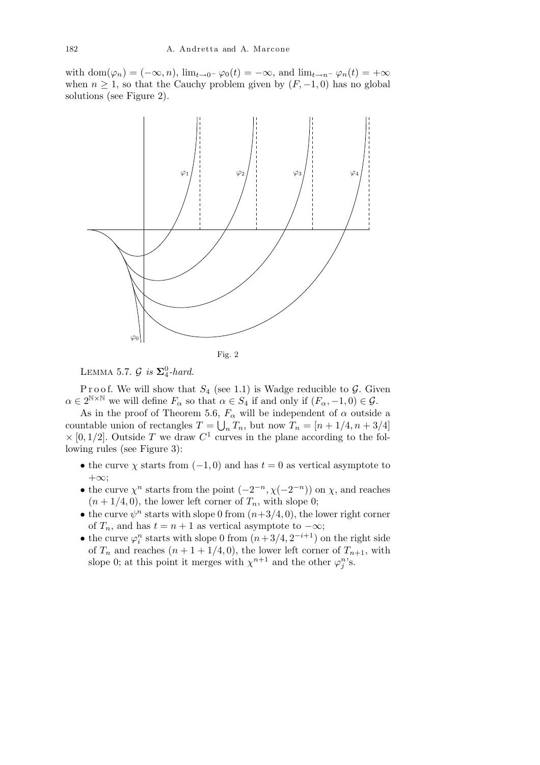with dom $(\varphi_n) = (-\infty, n)$ ,  $\lim_{t \to 0^-} \varphi_0(t) = -\infty$ , and  $\lim_{t \to n^-} \varphi_n(t) = +\infty$ when  $n \geq 1$ , so that the Cauchy problem given by  $(F, -1, 0)$  has no global solutions (see Figure 2).



LEMMA 5.7.  $\mathcal{G}$  *is*  $\Sigma_4^0$ -hard.

P r o o f. We will show that  $S_4$  (see 1.1) is Wadge reducible to  $\mathcal G$ . Given  $\alpha \in 2^{\mathbb{N} \times \mathbb{N}}$  we will define  $F_{\alpha}$  so that  $\alpha \in S_4$  if and only if  $(F_{\alpha}, -1, 0) \in \mathcal{G}$ .

As in the proof of Theorem 5.6,  $F_{\alpha}$  will be independent of  $\alpha$  outside a countable union of rectangles  $T = \bigcup_n T_n$ , but now  $T_n = [n + 1/4, n + 3/4]$  $\times$  [0, 1/2]. Outside *T* we draw  $C^1$  curves in the plane according to the following rules (see Figure 3):

- the curve  $\chi$  starts from ( $-1,0$ ) and has  $t=0$  as vertical asymptote to +*∞*;
- the curve  $\chi^n$  starts from the point  $(-2^{-n}, \chi(-2^{-n}))$  on  $\chi$ , and reaches  $(n+1/4, 0)$ , the lower left corner of  $T_n$ , with slope 0;
- the curve  $\psi^n$  starts with slope 0 from  $(n+3/4, 0)$ , the lower right corner of  $T_n$ , and has  $t = n + 1$  as vertical asymptote to  $-\infty$ ;
- the curve  $\varphi_i^n$  starts with slope 0 from  $(n+3/4, 2^{-i+1})$  on the right side of  $T_n$  and reaches  $(n + 1 + 1/4, 0)$ , the lower left corner of  $T_{n+1}$ , with slope 0; at this point it merges with  $\chi^{n+1}$  and the other  $\varphi_j^n$ 's.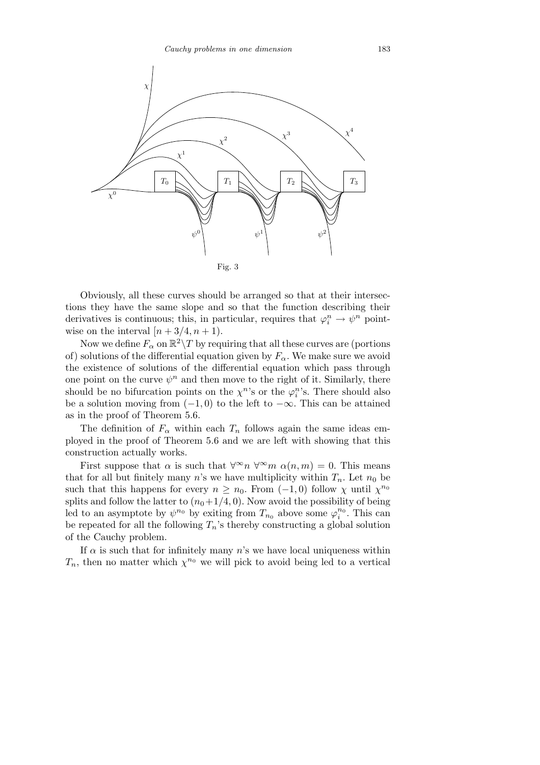

Obviously, all these curves should be arranged so that at their intersections they have the same slope and so that the function describing their derivatives is continuous; this, in particular, requires that  $\varphi_i^n \to \psi^n$  pointwise on the interval  $[n+3/4, n+1]$ .

Now we define  $F_\alpha$  on  $\mathbb{R}^2 \setminus T$  by requiring that all these curves are (portions of) solutions of the differential equation given by  $F_\alpha$ . We make sure we avoid the existence of solutions of the differential equation which pass through one point on the curve  $\psi^n$  and then move to the right of it. Similarly, there should be no bifurcation points on the  $\chi^{n}$ 's or the  $\varphi^{n}_{i}$ 's. There should also be a solution moving from (*−*1*,* 0) to the left to *−∞*. This can be attained as in the proof of Theorem 5.6.

The definition of  $F_\alpha$  within each  $T_n$  follows again the same ideas employed in the proof of Theorem 5.6 and we are left with showing that this construction actually works.

First suppose that  $\alpha$  is such that  $\forall^{\infty} n \ \forall^{\infty} m \ \alpha(n,m) = 0$ . This means that for all but finitely many *n*'s we have multiplicity within  $T_n$ . Let  $n_0$  be such that this happens for every  $n \geq n_0$ . From  $(-1,0)$  follow  $\chi$  until  $\chi^{n_0}$ splits and follow the latter to  $(n_0+1/4, 0)$ . Now avoid the possibility of being led to an asymptote by  $\psi^{n_0}$  by exiting from  $T_{n_0}$  above some  $\varphi_i^{n_0}$ . This can be repeated for all the following  $T_n$ 's thereby constructing a global solution of the Cauchy problem.

If *α* is such that for infinitely many *n*'s we have local uniqueness within  $T_n$ , then no matter which  $\chi^{n_0}$  we will pick to avoid being led to a vertical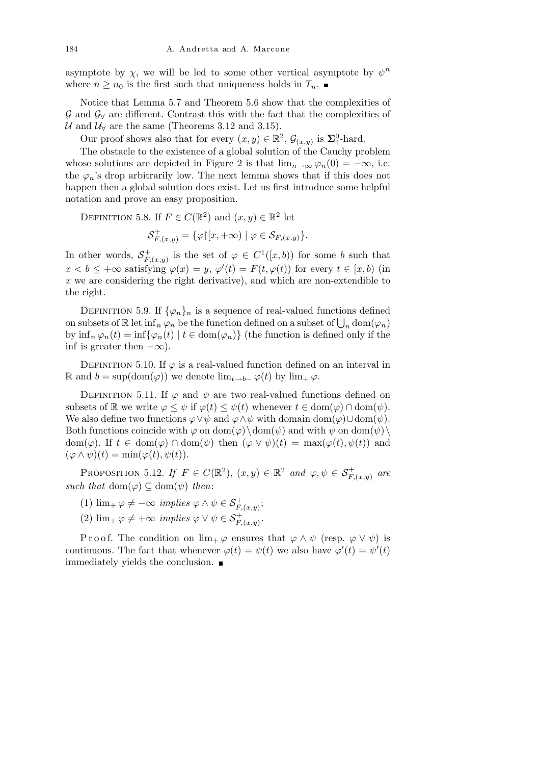asymptote by  $\chi$ , we will be led to some other vertical asymptote by  $\psi^n$ where  $n \geq n_0$  is the first such that uniqueness holds in  $T_n$ .

Notice that Lemma 5.7 and Theorem 5.6 show that the complexities of *G* and *G<sup>∀</sup>* are different. Contrast this with the fact that the complexities of *U* and  $U_V$  are the same (Theorems 3.12 and 3.15).

Our proof shows also that for every  $(x, y) \in \mathbb{R}^2$ ,  $\mathcal{G}_{(x,y)}$  is  $\Sigma_4^0$ -hard.

The obstacle to the existence of a global solution of the Cauchy problem whose solutions are depicted in Figure 2 is that  $\lim_{n\to\infty} \varphi_n(0) = -\infty$ , i.e. the  $\varphi_n$ 's drop arbitrarily low. The next lemma shows that if this does not happen then a global solution does exist. Let us first introduce some helpful notation and prove an easy proposition.

DEFINITION 5.8. If  $F \in C(\mathbb{R}^2)$  and  $(x, y) \in \mathbb{R}^2$  let

$$
\mathcal{S}^+_{F,(x,y)} = \{ \varphi \upharpoonright [x, +\infty) \mid \varphi \in \mathcal{S}_{F,(x,y)} \}.
$$

In other words,  $S_F^+$  $F_{F,(x,y)}^+$  is the set of  $\varphi \in C^1([x,b))$  for some *b* such that  $x < b \leq +\infty$  satisfying  $\varphi(x) = y$ ,  $\varphi'(t) = F(t, \varphi(t))$  for every  $t \in [x, b)$  (in *x* we are considering the right derivative), and which are non-extendible to the right.

DEFINITION 5.9. If  $\{\varphi_n\}_n$  is a sequence of real-valued functions defined DEFINITION 3.9. If  $\{\varphi_n\}_n$  is a sequence of real-valued functions defined<br>on subsets of  $\mathbb{R}$  let  $\inf_n \varphi_n$  be the function defined on a subset of  $\bigcup_n \text{dom}(\varphi_n)$ by  $\inf_n \varphi_n(t) = \inf \{ \varphi_n(t) \mid t \in \text{dom}(\varphi_n) \}$  (the function is defined only if the inf is greater then  $-\infty$ ).

DEFINITION 5.10. If  $\varphi$  is a real-valued function defined on an interval in R and  $b = \sup(\text{dom}(\varphi))$  we denote  $\lim_{t \to b^-} \varphi(t)$  by  $\lim_{t \to c^-} \varphi$ .

DEFINITION 5.11. If  $\varphi$  and  $\psi$  are two real-valued functions defined on subsets of R we write  $\varphi \leq \psi$  if  $\varphi(t) \leq \psi(t)$  whenever  $t \in \text{dom}(\varphi) \cap \text{dom}(\psi)$ . We also define two functions  $\varphi \lor \psi$  and  $\varphi \land \psi$  with domain dom( $\varphi$ ) $\cup$ dom( $\psi$ ). Both functions coincide with  $\varphi$  on dom $(\varphi) \$ dom $(\psi)$  and with  $\psi$  on dom $(\psi)$ dom( $\varphi$ ). If  $t \in \text{dom}(\varphi) \cap \text{dom}(\psi)$  then  $(\varphi \vee \psi)(t) = \max(\varphi(t), \psi(t))$  and  $(\varphi \wedge \psi)(t) = \min(\varphi(t), \psi(t)).$ 

PROPOSITION 5.12. *If*  $F \in C(\mathbb{R}^2)$ ,  $(x, y) \in \mathbb{R}^2$  and  $\varphi, \psi \in \mathcal{S}_{F,(x,y)}^+$  are *such that*  $dom(\varphi) \subseteq dom(\psi)$  *then*:

- (1)  $\lim_{+} \varphi \neq -\infty$  *implies*  $\varphi \land \psi \in \mathcal{S}_{F,(x,y)}^{+}$ ;
- (2)  $\lim_{+} \varphi \neq +\infty$  *implies*  $\varphi \vee \psi \in \mathcal{S}_{F,(x,y)}^{+}$ .

Proof. The condition on  $\lim_{+\infty} \varphi$  ensures that  $\varphi \wedge \psi$  (resp.  $\varphi \vee \psi$ ) is continuous. The fact that whenever  $\varphi(t) = \psi(t)$  we also have  $\varphi'(t) = \psi'(t)$ immediately yields the conclusion.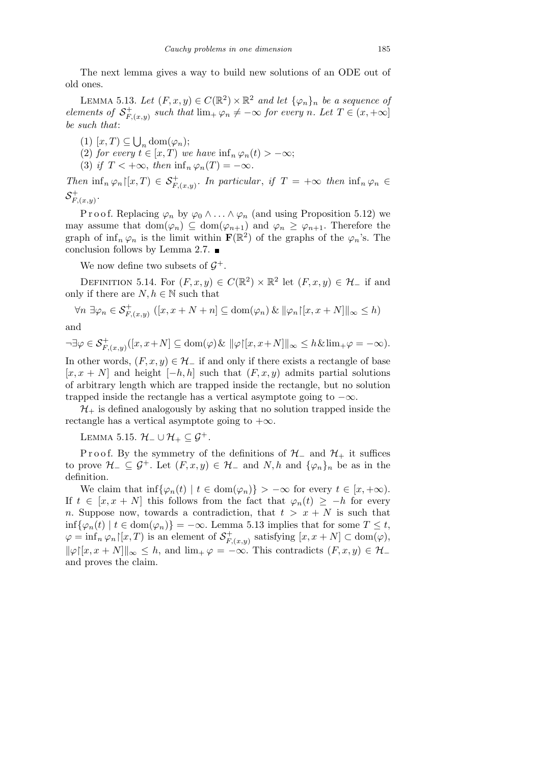The next lemma gives a way to build new solutions of an ODE out of old ones.

LEMMA 5.13. Let  $(F, x, y) \in C(\mathbb{R}^2) \times \mathbb{R}^2$  and let  $\{\varphi_n\}_n$  be a sequence of *elements of*  $S_F^+$  $F_{F,(x,y)}^+$  *such that*  $\lim_{x \to \infty} f(x) \neq -\infty$  *for every n. Let*  $T \in (x, +\infty]$ *be such that*:

(1) [*x, T*) *⊆* S  $_n \text{dom}(\varphi_n);$ 

(2) *for every*  $t \in [x, T)$  *we have*  $\inf_n \varphi_n(t) > -\infty$ ;

(3) *if*  $T < +\infty$ , *then*  $\inf_n \varphi_n(T) = -\infty$ .

*Then*  $\inf_n \varphi_n$   $\vert [x,T) \in S^+_{F,(x,y)}$ . In particular, if  $T = +\infty$  then  $\inf_n \varphi_n \in$  ${\cal S}^+_{\scriptscriptstyle F}$  $F_{r}(x,y)$ .

P r o o f. Replacing  $\varphi_n$  by  $\varphi_0 \wedge \ldots \wedge \varphi_n$  (and using Proposition 5.12) we may assume that  $dom(\varphi_n) \subseteq dom(\varphi_{n+1})$  and  $\varphi_n \geq \varphi_{n+1}$ . Therefore the graph of  $\inf_n \varphi_n$  is the limit within  $\mathbf{F}(\mathbb{R}^2)$  of the graphs of the  $\varphi_n$ 's. The conclusion follows by Lemma 2.7.

We now define two subsets of  $\mathcal{G}^+$ .

DEFINITION 5.14. For  $(F, x, y) \in C(\mathbb{R}^2) \times \mathbb{R}^2$  let  $(F, x, y) \in \mathcal{H}_-$  if and only if there are  $N, h \in \mathbb{N}$  such that

$$
\forall n \; \exists \varphi_n \in \mathcal{S}_{F,(x,y)}^+ \ ([x, x + N + n] \subseteq \text{dom}(\varphi_n) \ \& \ \|\varphi_n\|[x, x + N]\|_{\infty} \leq h)
$$

and

 $\neg \exists \varphi \in \mathcal{S}_{F,(x,y)}^{+}([x,x+N] \subseteq \text{dom}(\varphi) \& \|\varphi\| [x,x+N] \|_{\infty} \leq h \& \lim_{+\varphi = -\infty}.$ 

In other words,  $(F, x, y) \in \mathcal{H}$ <sup>*-*</sup> if and only if there exists a rectangle of base  $[x, x + N]$  and height  $[-h, h]$  such that  $(F, x, y)$  admits partial solutions of arbitrary length which are trapped inside the rectangle, but no solution trapped inside the rectangle has a vertical asymptote going to *−∞*.

 $\mathcal{H}_+$  is defined analogously by asking that no solution trapped inside the rectangle has a vertical asymptote going to  $+\infty$ .

Lemma 5.15. *H<sup>−</sup> ∪ H*<sup>+</sup> *⊆ G*<sup>+</sup>*.*

Proof. By the symmetry of the definitions of  $H$ <sub>−</sub> and  $H$ <sub>+</sub> it suffices to prove  $\mathcal{H}_-\subseteq \mathcal{G}^+$ . Let  $(F, x, y) \in \mathcal{H}_-\$  and  $N, h$  and  $\{\varphi_n\}_n$  be as in the definition.

We claim that  $\inf{\varphi_n(t) \mid t \in \text{dom}(\varphi_n)}$  >  $-\infty$  for every  $t \in [x, +\infty)$ . If  $t \in [x, x + N]$  this follows from the fact that  $\varphi_n(t) \geq -h$  for every *n*. Suppose now, towards a contradiction, that  $t > x + N$  is such that inf{ $\varphi_n(t) | t \in \text{dom}(\varphi_n)$ } = −∞. Lemma 5.13 implies that for some  $T \leq t$ ,  $\varphi = \inf_n \varphi_n \upharpoonright [x, T)$  is an element of  $S_F^+$ *F,*(*x,y*) satisfying [*x, x* + *N*] *⊂* dom(*ϕ*),  $\|\varphi\|[x, x + N]\|_{\infty} \leq h$ , and  $\lim_{x \to \infty} \varphi = -\infty$ . This contradicts  $(F, x, y) \in \mathcal{H}$ and proves the claim.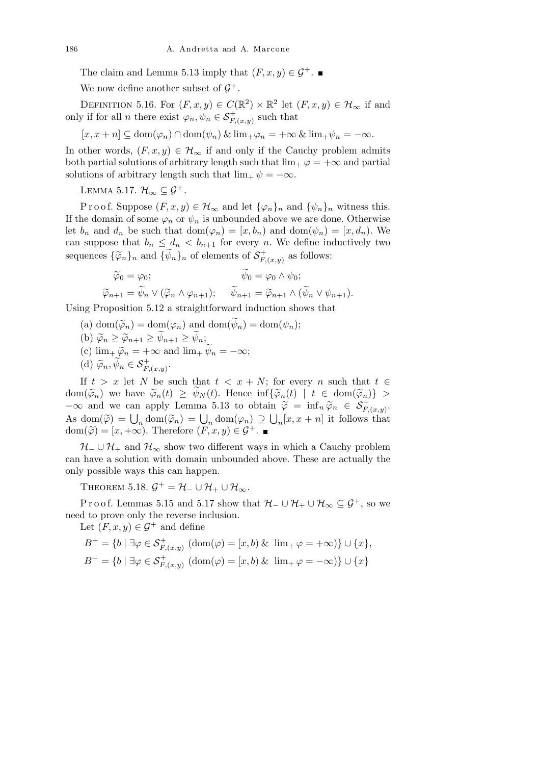The claim and Lemma 5.13 imply that  $(F, x, y) \in \mathcal{G}^+$ .

We now define another subset of  $\mathcal{G}^+$ .

DEFINITION 5.16. For  $(F, x, y) \in C(\mathbb{R}^2) \times \mathbb{R}^2$  let  $(F, x, y) \in \mathcal{H}_{\infty}$  if and only if for all *n* there exist  $\varphi_n, \psi_n \in \mathcal{S}_{F,(x,y)}^+$  such that

 $[x, x + n] \subseteq \text{dom}(\varphi_n) \cap \text{dom}(\psi_n) \& \lim_{+} \varphi_n = +\infty \& \lim_{+} \psi_n = -\infty.$ 

In other words,  $(F, x, y) \in \mathcal{H}_{\infty}$  if and only if the Cauchy problem admits both partial solutions of arbitrary length such that  $\lim_{x \to \infty} \varphi = +\infty$  and partial solutions of arbitrary length such that  $\lim_{+} \psi = -\infty$ .

LEMMA 5.17.  $\mathcal{H}_{\infty} \subseteq \mathcal{G}^+$ .

Proof. Suppose  $(F, x, y) \in \mathcal{H}_{\infty}$  and let  $\{\varphi_n\}_n$  and  $\{\psi_n\}_n$  witness this. If the domain of some  $\varphi_n$  or  $\psi_n$  is unbounded above we are done. Otherwise let  $b_n$  and  $d_n$  be such that  $dom(\varphi_n) = [x, b_n)$  and  $dom(\psi_n) = [x, d_n)$ . We can suppose that  $b_n \leq d_n < b_{n+1}$  for every *n*. We define inductively two sequences  $\{\widetilde{\varphi}_n\}_n$  and  $\{\widetilde{\psi}_n\}_n$  of elements of  $S_F^+$  $F_{F,(x,y)}$  as follows:

$$
\widetilde{\varphi}_0 = \varphi_0; \qquad \widetilde{\psi}_0 = \varphi_0 \wedge \psi_0; \n\widetilde{\varphi}_{n+1} = \widetilde{\psi}_n \vee (\widetilde{\varphi}_n \wedge \varphi_{n+1}); \qquad \widetilde{\psi}_{n+1} = \widetilde{\varphi}_{n+1} \wedge (\widetilde{\psi}_n \vee \psi_{n+1}).
$$

Using Proposition 5.12 a straightforward induction shows that

- (a) dom $(\widetilde{\varphi}_n) = \text{dom}(\varphi_n)$  and  $\text{dom}(\widetilde{\psi}_n) = \text{dom}(\psi_n);$
- $\widetilde{\varphi}_n \geq \widetilde{\varphi}_{n+1} \geq \widetilde{\psi}_{n+1} \geq \widetilde{\psi}_n;$
- (c)  $\lim_{+} \widetilde{\varphi}_n = +\infty$  and  $\lim_{+} \widetilde{\psi}_n = -\infty$ ;
- (d)  $\widetilde{\varphi}_n, \widetilde{\psi}_n \in \mathcal{S}_{F,(x,y)}^+$ .

If  $t > x$  let *N* be such that  $t < x + N$ ; for every *n* such that  $t \in$ dom $(\widetilde{\varphi}_n)$  we have  $\widetilde{\varphi}_n(t) \ge \widetilde{\psi}_N(t)$ . Hence  $\inf{\{\widetilde{\varphi}_n(t) \mid t \in \text{dom}(\widetilde{\varphi}_n)\}} >$ *−∞* and we can apply Lemma 5.13 to obtain  $\tilde{\varphi} = \inf_n \tilde{\varphi}_n \in S^+_{F,(x,y)}$ . As dom $(\widetilde{\varphi}) = \bigcup_n \text{dom}(\widetilde{\varphi}_n) = \bigcup_n \text{dom}(\varphi_n) \supseteq \bigcup_n [x, x + n]$  it follows that dom( $\widetilde{\varphi}$ ) = [x, +∞). Therefore (*F, x, y*)  $\in \mathcal{G}^+$ . ■

 $H$ <sup>*−*</sup> ∪  $H$ <sup>*+*</sup> and  $H$ <sup>*∞*</sup> show two different ways in which a Cauchy problem can have a solution with domain unbounded above. These are actually the only possible ways this can happen.

 $T$ HEOREM 5.18.  $\mathcal{G}^+ = \mathcal{H}_- \cup \mathcal{H}_+ \cup \mathcal{H}_\infty$ .

P r o o f. Lemmas 5.15 and 5.17 show that  $\mathcal{H}_-\cup\mathcal{H}_+\cup\mathcal{H}_\infty\subset\mathcal{G}^+$ , so we need to prove only the reverse inclusion.

Let  $(F, x, y) \in \mathcal{G}^+$  and define

$$
B^+ = \{b \mid \exists \varphi \in \mathcal{S}^+_{F,(x,y)} \ (\text{dom}(\varphi) = [x,b) \& \ \lim_{+} \varphi = +\infty\} \cup \{x\},
$$
  

$$
B^- = \{b \mid \exists \varphi \in \mathcal{S}^+_{F,(x,y)} \ (\text{dom}(\varphi) = [x,b) \& \ \lim_{+} \varphi = -\infty\} \cup \{x\}
$$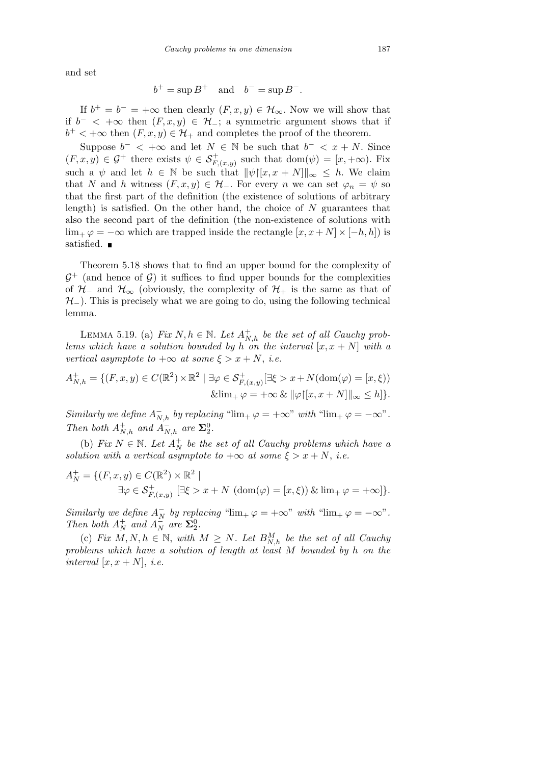and set

$$
b^+ = \sup B^+
$$
 and  $b^- = \sup B^-$ .

If  $b^+ = b^- = +\infty$  then clearly  $(F, x, y) \in \mathcal{H}_{\infty}$ . Now we will show that if  $b^-$  <  $+\infty$  then  $(F, x, y) \in \mathcal{H}_-$ ; a symmetric argument shows that if  $b^+$  < + $\infty$  then  $(F, x, y) \in \mathcal{H}_+$  and completes the proof of the theorem.

Suppose  $b^-$  <  $+\infty$  and let  $N \in \mathbb{N}$  be such that  $b^-$  <  $x + N$ . Since  $(F, x, y) \in \mathcal{G}^+$  there exists  $\psi \in \mathcal{S}^+_{F,(x,y)}$  such that dom $(\psi) = [x, +\infty)$ . Fix such a  $\psi$  and let  $h \in \mathbb{N}$  be such that  $\|\psi\|_{x,x} + N\|_{\infty} \leq h$ . We claim that *N* and *h* witness  $(F, x, y) \in \mathcal{H}$ <sub>−</sub>. For every *n* we can set  $\varphi_n = \psi$  so that the first part of the definition (the existence of solutions of arbitrary length) is satisfied. On the other hand, the choice of  $N$  guarantees that also the second part of the definition (the non-existence of solutions with lim<sub>+</sub>  $\varphi$  = −∞ which are trapped inside the rectangle  $[x, x + N] \times [-h, h]$  is satisfied.  $\blacksquare$ 

Theorem 5.18 shows that to find an upper bound for the complexity of  $G^+$  (and hence of  $G$ ) it suffices to find upper bounds for the complexities of  $H$ <sub>−</sub> and  $H$ <sub>∞</sub> (obviously, the complexity of  $H$ <sup>+</sup> is the same as that of *H*<sup>−</sup>). This is precisely what we are going to do, using the following technical lemma.

LEMMA 5.19. (a) *Fix*  $N, h \in \mathbb{N}$ . Let  $A_{N,h}^+$  be the set of all Cauchy prob*lems which have a solution bounded by h on the interval*  $[x, x + N]$  *with a vertical asymptote to*  $+\infty$  *at some*  $\xi > x + N$ , *i.e.* 

$$
A_{N,h}^+ = \{ (F, x, y) \in C(\mathbb{R}^2) \times \mathbb{R}^2 \mid \exists \varphi \in \mathcal{S}_{F,(x,y)}^+ [\exists \xi > x + N(\text{dom}(\varphi) = [x, \xi))
$$
  

$$
\& \lim_{+} \varphi = +\infty \& \|\varphi\|[x, x + N] \|_{\infty} \le h \}.
$$

*Similarly we define*  $A_{N,h}^-$  *by replacing* " $\lim_{+\varphi}$  =  $+\infty$ " *with* " $\lim_{+\varphi}$  =  $-\infty$ ". *Then both*  $A^+_{N,h}$  *and*  $A^-_{N,h}$  *are*  $\Sigma^0_2$ *.* 

(b) *Fix*  $N \in \mathbb{N}$ *. Let*  $A_N^+$  *be the set of all Cauchy problems which have a solution with a vertical asymptote to*  $+\infty$  *at some*  $\xi > x + N$ , *i.e.* 

$$
A_N^+ = \{ (F, x, y) \in C(\mathbb{R}^2) \times \mathbb{R}^2 \mid
$$
  
\n
$$
\exists \varphi \in \mathcal{S}_{F,(x,y)}^+ \; [\exists \xi > x + N \; (\text{dom}(\varphi) = [x, \xi)) \; \& \; \text{lim}_{+} \; \varphi = +\infty \} \}.
$$

*Similarly we define*  $A_N^-$  *by replacing* " $\lim_+ \varphi = +\infty$ " *with* " $\lim_+ \varphi = -\infty$ ". *Then both*  $A_N^+$  *and*  $A_N^-$  *are*  $\Sigma_2^0$ *.* 

(c) *Fix*  $M, N, h \in \mathbb{N}$ , with  $M \geq N$ . Let  $B_{N,h}^M$  be the set of all Cauchy *problems which have a solution of length at least M bounded by h on the interval*  $[x, x + N]$ , *i.e.*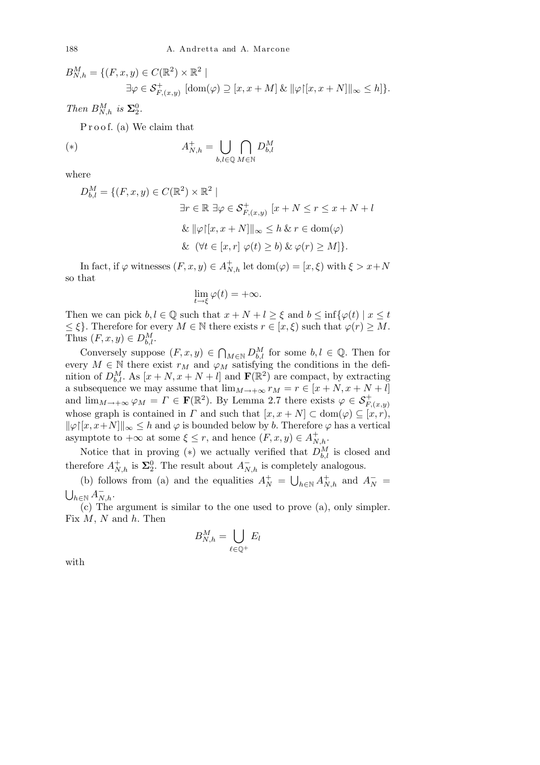$$
B_{N,h}^M = \{ (F, x, y) \in C(\mathbb{R}^2) \times \mathbb{R}^2 \mid
$$
  

$$
\exists \varphi \in \mathcal{S}_{F,(x,y)}^+ \; [\text{dom}(\varphi) \supseteq [x, x + M] \; \& \; ||\varphi|[x, x + N]||_{\infty} \le h] \}.
$$

*Then*  $B_{N,h}^M$  *is*  $\Sigma_2^0$ *.* 

Proof. (a) We claim that

$$
A_{N,h}^+ = \bigcup_{b,l \in \mathbb{Q}} \bigcap_{M \in \mathbb{N}} D_{b,l}^M
$$

where

$$
D_{b,l}^M = \{ (F, x, y) \in C(\mathbb{R}^2) \times \mathbb{R}^2 \mid
$$
  
\n
$$
\exists r \in \mathbb{R} \; \exists \varphi \in \mathcal{S}_{F,(x,y)}^+ \; [x + N \le r \le x + N + l]
$$
  
\n
$$
\& \; ||\varphi|[x, x + N]||_{\infty} \le h \; \& \; r \in \text{dom}(\varphi)
$$
  
\n
$$
\& \; (\forall t \in [x, r] \; \varphi(t) \ge b) \; \& \; \varphi(r) \ge M \}.
$$

In fact, if  $\varphi$  witnesses  $(F, x, y) \in A_{N,h}^+$  let  $dom(\varphi) = [x, \xi)$  with  $\xi > x + N$ so that

$$
\lim_{t \to \xi} \varphi(t) = +\infty.
$$

Then we can pick  $b, l \in \mathbb{Q}$  such that  $x + N + l > \xi$  and  $b \le \inf\{\varphi(t) \mid x \le t\}$  $\leq \xi$ . Therefore for every  $M \in \mathbb{N}$  there exists  $r \in [x, \xi)$  such that  $\varphi(r) \geq M$ . Thus  $(F, x, y) \in D_{b,l}^M$ .

Conversely suppose  $(F, x, y) \in$  $\bigcap_{M \in \mathbb{N}} D_{b,l}^M$  for some  $b, l \in \mathbb{Q}$ . Then for every  $M \in \mathbb{N}$  there exist  $r_M$  and  $\varphi_M$  satisfying the conditions in the definition of  $D_{b,l}^M$ . As  $[x + N, x + N + l]$  and  $\mathbf{F}(\mathbb{R}^2)$  are compact, by extracting a subsequence we may assume that  $\lim_{M \to +\infty} r_M = r \in [x + N, x + N + l]$ and  $\lim_{M\to+\infty}\varphi_M=\Gamma\in\mathbf{F}(\mathbb{R}^2)$ . By Lemma 2.7 there exists  $\varphi\in\mathcal{S}^+_{F,(x,y)}$ whose graph is contained in *Γ* and such that  $[x, x + N] \subset \text{dom}(\varphi) \subseteq [x, r)$ ,  $\|\varphi\|[x, x+N] \|_{\infty} \leq h$  and  $\varphi$  is bounded below by *b*. Therefore  $\varphi$  has a vertical asymptote to  $+\infty$  at some  $\xi \leq r$ , and hence  $(F, x, y) \in A_{N,h}^+$ .

Notice that in proving  $(*)$  we actually verified that  $D_{b,l}^M$  is closed and therefore  $A_{N,h}^+$  is  $\Sigma_2^0$ . The result about  $A_{N,h}^-$  is completely analogous.

(b) follows from (a) and the equalities  $A_N^+ = \bigcup_{h \in \mathbb{N}} A_{N,h}^+$  and  $A_N^-$ S  $h \in \mathbb{N}$   $\overline{A}_{N,h}^-$ .

(c) The argument is similar to the one used to prove (a), only simpler. Fix *M*, *N* and *h*. Then  $\mathbf{r}$ 

$$
B_{N,h}^M = \bigcup_{\ell \in \mathbb{Q}^+} E_l
$$

with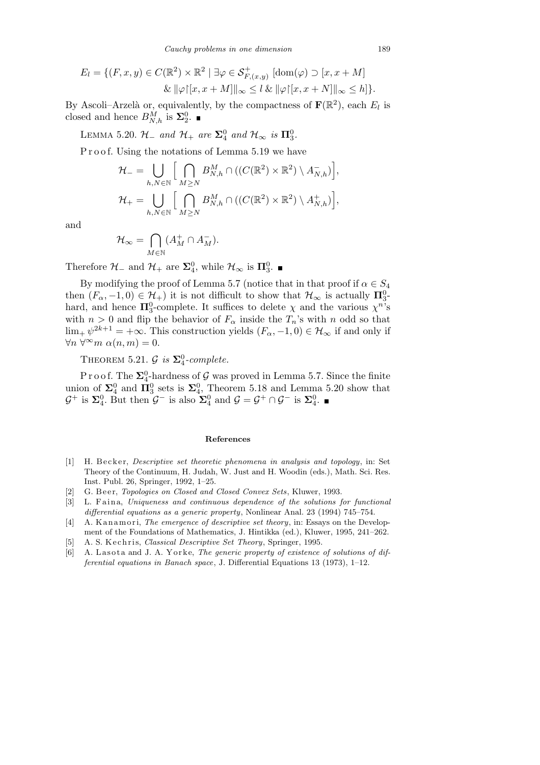*Cauchy problems in one dimension* 189

$$
E_l = \{ (F, x, y) \in C(\mathbb{R}^2) \times \mathbb{R}^2 \mid \exists \varphi \in \mathcal{S}^+_{F,(x,y)} \left[ \text{dom}(\varphi) \supset [x, x + M] \right] \& \|\varphi\| [x, x + M] \|_{\infty} \le l \& \|\varphi\| [x, x + N] \|_{\infty} \le h \}.
$$

By Ascoli–Arzelà or, equivalently, by the compactness of  $\mathbf{F}(\mathbb{R}^2)$ , each  $E_l$  is closed and hence  $B_{N,h}^M$  is  $\Sigma_2^0$ .

LEMMA 5.20.  $\mathcal{H}_-$  and  $\mathcal{H}_+$  are  $\Sigma_4^0$  and  $\mathcal{H}_{\infty}$  is  $\Pi_3^0$ .

P r o o f. Using the notations of Lemma 5.19 we have

$$
\mathcal{H}_{-} = \bigcup_{h,N \in \mathbb{N}} \Big[ \bigcap_{M \geq N} B_{N,h}^{M} \cap ((C(\mathbb{R}^{2}) \times \mathbb{R}^{2}) \setminus A_{N,h}^{-}) \Big],
$$
  

$$
\mathcal{H}_{+} = \bigcup_{h,N \in \mathbb{N}} \Big[ \bigcap_{M \geq N} B_{N,h}^{M} \cap ((C(\mathbb{R}^{2}) \times \mathbb{R}^{2}) \setminus A_{N,h}^{+}) \Big],
$$

and

$$
\mathcal{H}_{\infty} = \bigcap_{M \in \mathbb{N}} (A_M^+ \cap A_M^-).
$$

Therefore  $\mathcal{H}_-$  and  $\mathcal{H}_+$  are  $\Sigma_4^0$ , while  $\mathcal{H}_{\infty}$  is  $\Pi_3^0$ .

By modifying the proof of Lemma 5.7 (notice that in that proof if  $\alpha \in S_4$ then  $(F_\alpha, -1, 0) \in \mathcal{H}_+$ ) it is not difficult to show that  $\mathcal{H}_\infty$  is actually  $\Pi_3^0$ hard, and hence  $\Pi_3^0$ -complete. It suffices to delete  $\chi$  and the various  $\chi^{n}$ 's with  $n > 0$  and flip the behavior of  $F_\alpha$  inside the  $T_n$ 's with *n* odd so that  $\lim_{x \to \infty} \psi^{2k+1} = +\infty$ . This construction yields  $(F_{\alpha}, -1, 0) \in \mathcal{H}_{\infty}$  if and only if  $\forall n \ \forall^{\infty} m \ \alpha(n,m) = 0.$ 

THEOREM 5.21.  $\mathcal{G}$  *is*  $\Sigma_4^0$ -complete.

P r o o f. The  $\Sigma^0_4$ -hardness of  $\mathcal G$  was proved in Lemma 5.7. Since the finite union of  $\Sigma_4^0$  and  $\Pi_3^0$  sets is  $\Sigma_4^0$ , Theorem 5.18 and Lemma 5.20 show that  $\mathcal{G}^+$  is  $\Sigma_4^0$ . But then  $\mathcal{G}^-$  is also  $\Sigma_4^0$  and  $\mathcal{G} = \mathcal{G}^+ \cap \mathcal{G}^-$  is  $\Sigma_4^0$ .

#### **References**

- [1] H. Becker, *Descriptive set theoretic phenomena in analysis and topology*, in: Set Theory of the Continuum, H. Judah, W. Just and H. Woodin (eds.), Math. Sci. Res. Inst. Publ. 26, Springer, 1992, 1–25.
- [2] G. Beer, *Topologies on Closed and Closed Convex Sets*, Kluwer, 1993.
- [3] L. Faina, *Uniqueness and continuous dependence of the solutions for functional differential equations as a generic property*, Nonlinear Anal. 23 (1994) 745–754.
- [4] A. Kanamori, *The emergence of descriptive set theory*, in: Essays on the Development of the Foundations of Mathematics, J. Hintikka (ed.), Kluwer, 1995, 241–262.
- [5] A. S. Kechris, *Classical Descriptive Set Theory*, Springer, 1995.
- [6] A. Lasota and J. A. Yorke, *The generic property of existence of solutions of differential equations in Banach space*, J. Differential Equations 13 (1973), 1–12.